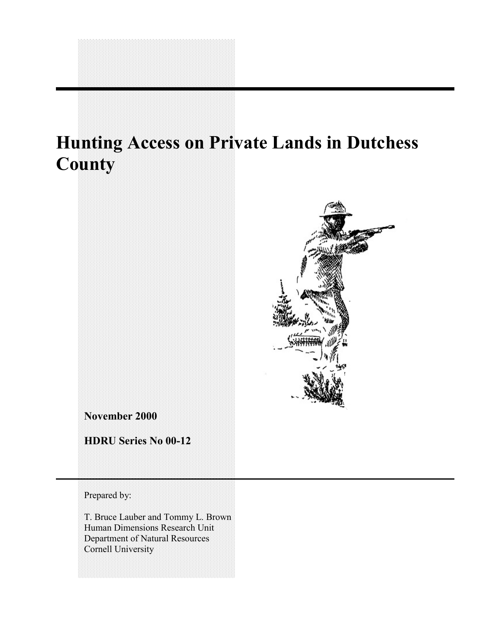# **Hunting Access on Private Lands in Dutchess County**



**November 2000**

**HDRU Series No 00-12**

Prepared by:

T. Bruce Lauber and Tommy L. Brown Human Dimensions Research Unit Department of Natural Resources Cornell University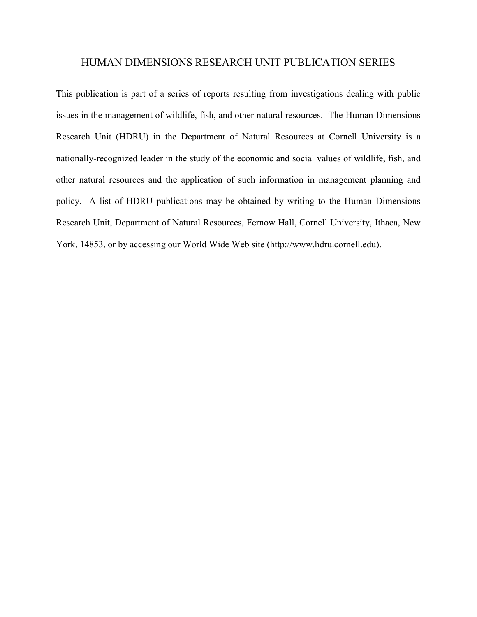#### HUMAN DIMENSIONS RESEARCH UNIT PUBLICATION SERIES

This publication is part of a series of reports resulting from investigations dealing with public issues in the management of wildlife, fish, and other natural resources. The Human Dimensions Research Unit (HDRU) in the Department of Natural Resources at Cornell University is a nationally-recognized leader in the study of the economic and social values of wildlife, fish, and other natural resources and the application of such information in management planning and policy. A list of HDRU publications may be obtained by writing to the Human Dimensions Research Unit, Department of Natural Resources, Fernow Hall, Cornell University, Ithaca, New York, 14853, or by accessing our World Wide Web site (http://www.hdru.cornell.edu).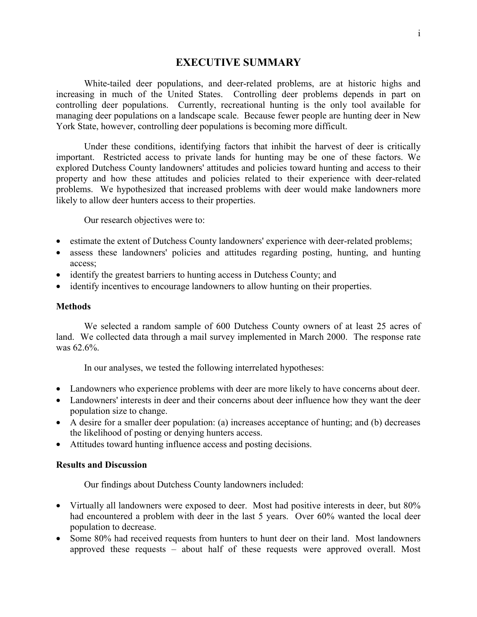#### **EXECUTIVE SUMMARY**

<span id="page-2-0"></span>White-tailed deer populations, and deer-related problems, are at historic highs and increasing in much of the United States. Controlling deer problems depends in part on controlling deer populations. Currently, recreational hunting is the only tool available for managing deer populations on a landscape scale. Because fewer people are hunting deer in New York State, however, controlling deer populations is becoming more difficult.

Under these conditions, identifying factors that inhibit the harvest of deer is critically important. Restricted access to private lands for hunting may be one of these factors. We explored Dutchess County landowners' attitudes and policies toward hunting and access to their property and how these attitudes and policies related to their experience with deer-related problems. We hypothesized that increased problems with deer would make landowners more likely to allow deer hunters access to their properties.

Our research objectives were to:

- estimate the extent of Dutchess County landowners' experience with deer-related problems;
- assess these landowners' policies and attitudes regarding posting, hunting, and hunting access;
- identify the greatest barriers to hunting access in Dutchess County; and
- identify incentives to encourage landowners to allow hunting on their properties.

#### **Methods**

We selected a random sample of 600 Dutchess County owners of at least 25 acres of land. We collected data through a mail survey implemented in March 2000. The response rate was 62.6%.

In our analyses, we tested the following interrelated hypotheses:

- Landowners who experience problems with deer are more likely to have concerns about deer.
- Landowners' interests in deer and their concerns about deer influence how they want the deer population size to change.
- A desire for a smaller deer population: (a) increases acceptance of hunting; and (b) decreases the likelihood of posting or denying hunters access.
- Attitudes toward hunting influence access and posting decisions.

#### **Results and Discussion**

Our findings about Dutchess County landowners included:

- Virtually all landowners were exposed to deer. Most had positive interests in deer, but 80% had encountered a problem with deer in the last 5 years. Over 60% wanted the local deer population to decrease.
- Some 80% had received requests from hunters to hunt deer on their land. Most landowners approved these requests – about half of these requests were approved overall. Most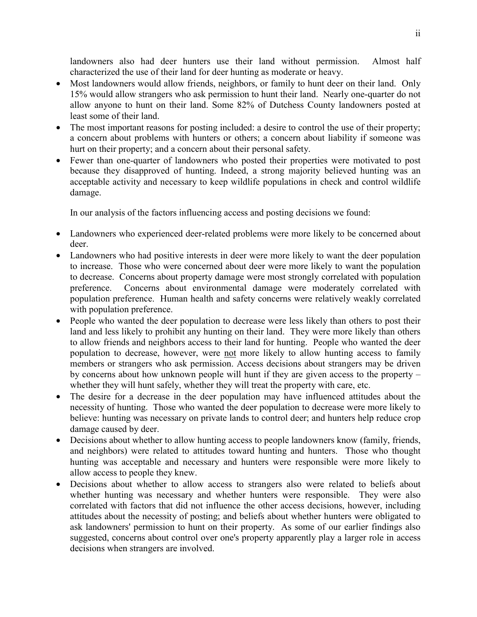landowners also had deer hunters use their land without permission. Almost half characterized the use of their land for deer hunting as moderate or heavy.

- Most landowners would allow friends, neighbors, or family to hunt deer on their land. Only 15% would allow strangers who ask permission to hunt their land. Nearly one-quarter do not allow anyone to hunt on their land. Some 82% of Dutchess County landowners posted at least some of their land.
- The most important reasons for posting included: a desire to control the use of their property; a concern about problems with hunters or others; a concern about liability if someone was hurt on their property; and a concern about their personal safety.
- Fewer than one-quarter of landowners who posted their properties were motivated to post because they disapproved of hunting. Indeed, a strong majority believed hunting was an acceptable activity and necessary to keep wildlife populations in check and control wildlife damage.

In our analysis of the factors influencing access and posting decisions we found:

- Landowners who experienced deer-related problems were more likely to be concerned about deer.
- Landowners who had positive interests in deer were more likely to want the deer population to increase. Those who were concerned about deer were more likely to want the population to decrease. Concerns about property damage were most strongly correlated with population preference. Concerns about environmental damage were moderately correlated with population preference. Human health and safety concerns were relatively weakly correlated with population preference.
- People who wanted the deer population to decrease were less likely than others to post their land and less likely to prohibit any hunting on their land. They were more likely than others to allow friends and neighbors access to their land for hunting. People who wanted the deer population to decrease, however, were not more likely to allow hunting access to family members or strangers who ask permission. Access decisions about strangers may be driven by concerns about how unknown people will hunt if they are given access to the property – whether they will hunt safely, whether they will treat the property with care, etc.
- The desire for a decrease in the deer population may have influenced attitudes about the necessity of hunting. Those who wanted the deer population to decrease were more likely to believe: hunting was necessary on private lands to control deer; and hunters help reduce crop damage caused by deer.
- Decisions about whether to allow hunting access to people landowners know (family, friends, and neighbors) were related to attitudes toward hunting and hunters. Those who thought hunting was acceptable and necessary and hunters were responsible were more likely to allow access to people they knew.
- Decisions about whether to allow access to strangers also were related to beliefs about whether hunting was necessary and whether hunters were responsible. They were also correlated with factors that did not influence the other access decisions, however, including attitudes about the necessity of posting; and beliefs about whether hunters were obligated to ask landowners' permission to hunt on their property. As some of our earlier findings also suggested, concerns about control over one's property apparently play a larger role in access decisions when strangers are involved.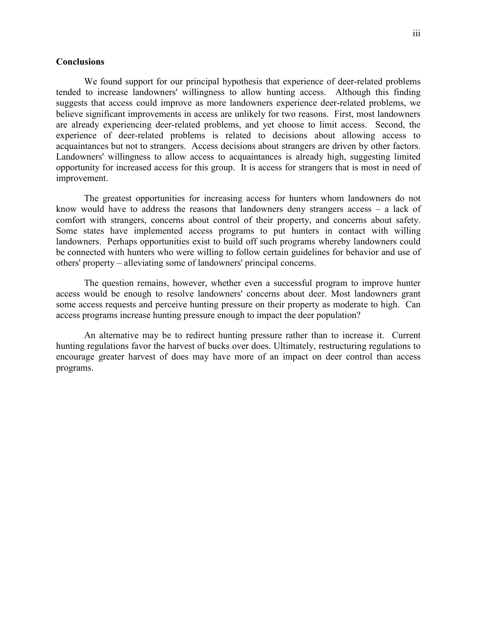#### **Conclusions**

We found support for our principal hypothesis that experience of deer-related problems tended to increase landowners' willingness to allow hunting access. Although this finding suggests that access could improve as more landowners experience deer-related problems, we believe significant improvements in access are unlikely for two reasons. First, most landowners are already experiencing deer-related problems, and yet choose to limit access. Second, the experience of deer-related problems is related to decisions about allowing access to acquaintances but not to strangers. Access decisions about strangers are driven by other factors. Landowners' willingness to allow access to acquaintances is already high, suggesting limited opportunity for increased access for this group. It is access for strangers that is most in need of improvement.

The greatest opportunities for increasing access for hunters whom landowners do not know would have to address the reasons that landowners deny strangers access – a lack of comfort with strangers, concerns about control of their property, and concerns about safety. Some states have implemented access programs to put hunters in contact with willing landowners. Perhaps opportunities exist to build off such programs whereby landowners could be connected with hunters who were willing to follow certain guidelines for behavior and use of others' property – alleviating some of landowners' principal concerns.

The question remains, however, whether even a successful program to improve hunter access would be enough to resolve landowners' concerns about deer. Most landowners grant some access requests and perceive hunting pressure on their property as moderate to high. Can access programs increase hunting pressure enough to impact the deer population?

An alternative may be to redirect hunting pressure rather than to increase it. Current hunting regulations favor the harvest of bucks over does. Ultimately, restructuring regulations to encourage greater harvest of does may have more of an impact on deer control than access programs.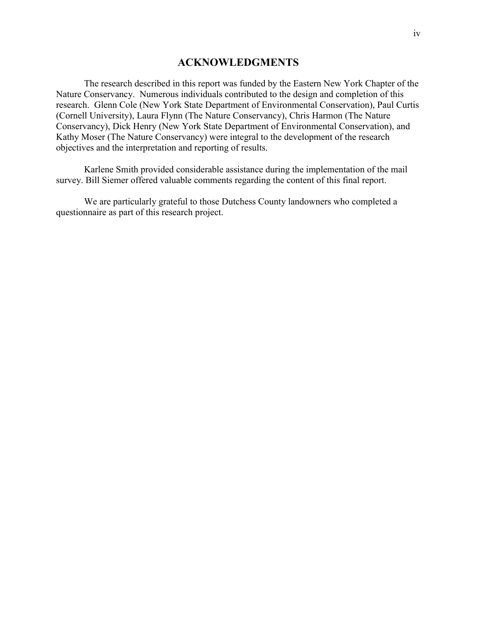#### **ACKNOWLEDGMENTS**

<span id="page-5-0"></span>The research described in this report was funded by the Eastern New York Chapter of the Nature Conservancy. Numerous individuals contributed to the design and completion of this research. Glenn Cole (New York State Department of Environmental Conservation), Paul Curtis (Cornell University), Laura Flynn (The Nature Conservancy), Chris Harmon (The Nature Conservancy), Dick Henry (New York State Department of Environmental Conservation), and Kathy Moser (The Nature Conservancy) were integral to the development of the research objectives and the interpretation and reporting of results.

Karlene Smith provided considerable assistance during the implementation of the mail survey. Bill Siemer offered valuable comments regarding the content of this final report.

We are particularly grateful to those Dutchess County landowners who completed a questionnaire as part of this research project.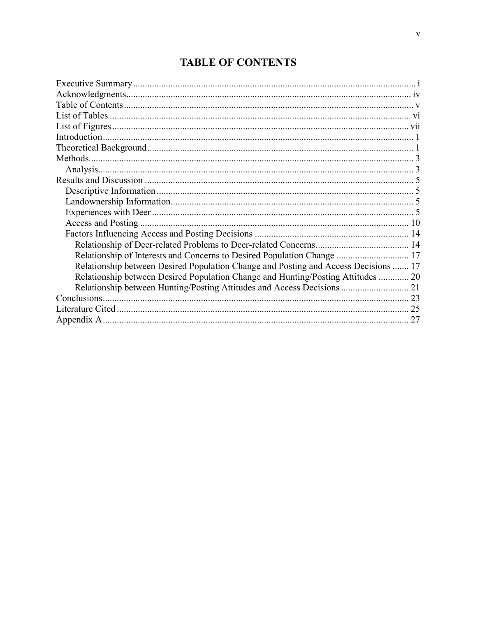### **TABLE OF CONTENTS**

| Relationship of Interests and Concerns to Desired Population Change  17             |    |
|-------------------------------------------------------------------------------------|----|
| Relationship between Desired Population Change and Posting and Access Decisions  17 |    |
| Relationship between Desired Population Change and Hunting/Posting Attitudes  20    |    |
|                                                                                     |    |
|                                                                                     |    |
|                                                                                     |    |
|                                                                                     | 27 |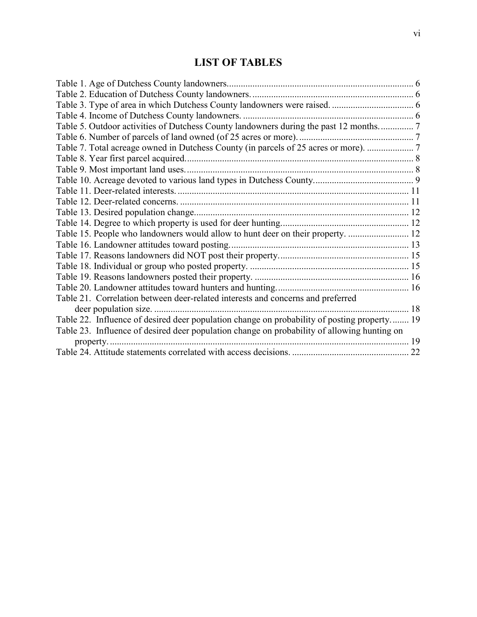### **LIST OF TABLES**

<span id="page-7-0"></span>

| Table 7. Total acreage owned in Dutchess County (in parcels of 25 acres or more).  7        |  |
|---------------------------------------------------------------------------------------------|--|
|                                                                                             |  |
|                                                                                             |  |
|                                                                                             |  |
|                                                                                             |  |
|                                                                                             |  |
|                                                                                             |  |
|                                                                                             |  |
| Table 15. People who landowners would allow to hunt deer on their property.  12             |  |
| Table 16. Landowner attitudes toward posting.                                               |  |
|                                                                                             |  |
|                                                                                             |  |
|                                                                                             |  |
|                                                                                             |  |
| Table 21. Correlation between deer-related interests and concerns and preferred             |  |
|                                                                                             |  |
| Table 22. Influence of desired deer population change on probability of posting property 19 |  |
| Table 23. Influence of desired deer population change on probability of allowing hunting on |  |
|                                                                                             |  |
|                                                                                             |  |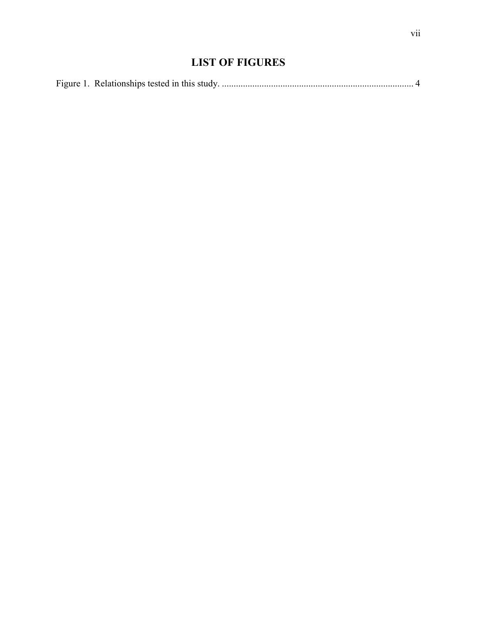### **LIST OF FIGURES**

<span id="page-8-0"></span>

|--|--|--|--|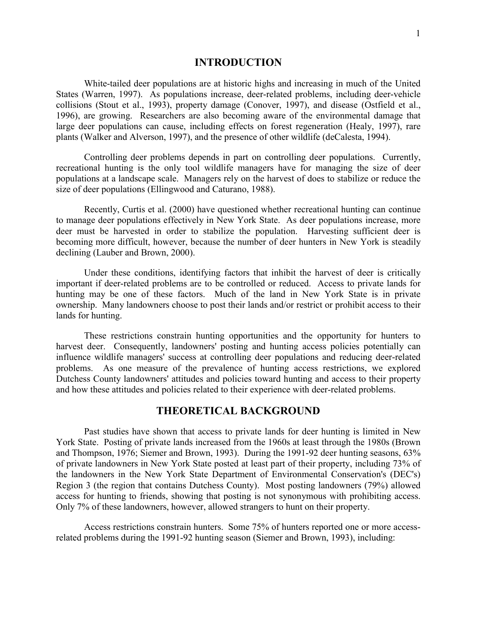#### **INTRODUCTION**

<span id="page-9-0"></span>White-tailed deer populations are at historic highs and increasing in much of the United States (Warren, 1997). As populations increase, deer-related problems, including deer-vehicle collisions (Stout et al., 1993), property damage (Conover, 1997), and disease (Ostfield et al., 1996), are growing. Researchers are also becoming aware of the environmental damage that large deer populations can cause, including effects on forest regeneration (Healy, 1997), rare plants (Walker and Alverson, 1997), and the presence of other wildlife (deCalesta, 1994).

Controlling deer problems depends in part on controlling deer populations. Currently, recreational hunting is the only tool wildlife managers have for managing the size of deer populations at a landscape scale. Managers rely on the harvest of does to stabilize or reduce the size of deer populations (Ellingwood and Caturano, 1988).

Recently, Curtis et al. (2000) have questioned whether recreational hunting can continue to manage deer populations effectively in New York State. As deer populations increase, more deer must be harvested in order to stabilize the population. Harvesting sufficient deer is becoming more difficult, however, because the number of deer hunters in New York is steadily declining (Lauber and Brown, 2000).

Under these conditions, identifying factors that inhibit the harvest of deer is critically important if deer-related problems are to be controlled or reduced. Access to private lands for hunting may be one of these factors. Much of the land in New York State is in private ownership. Many landowners choose to post their lands and/or restrict or prohibit access to their lands for hunting.

These restrictions constrain hunting opportunities and the opportunity for hunters to harvest deer. Consequently, landowners' posting and hunting access policies potentially can influence wildlife managers' success at controlling deer populations and reducing deer-related problems. As one measure of the prevalence of hunting access restrictions, we explored Dutchess County landowners' attitudes and policies toward hunting and access to their property and how these attitudes and policies related to their experience with deer-related problems.

#### **THEORETICAL BACKGROUND**

Past studies have shown that access to private lands for deer hunting is limited in New York State. Posting of private lands increased from the 1960s at least through the 1980s (Brown and Thompson, 1976; Siemer and Brown, 1993). During the 1991-92 deer hunting seasons, 63% of private landowners in New York State posted at least part of their property, including 73% of the landowners in the New York State Department of Environmental Conservation's (DEC's) Region 3 (the region that contains Dutchess County). Most posting landowners (79%) allowed access for hunting to friends, showing that posting is not synonymous with prohibiting access. Only 7% of these landowners, however, allowed strangers to hunt on their property.

Access restrictions constrain hunters. Some 75% of hunters reported one or more accessrelated problems during the 1991-92 hunting season (Siemer and Brown, 1993), including: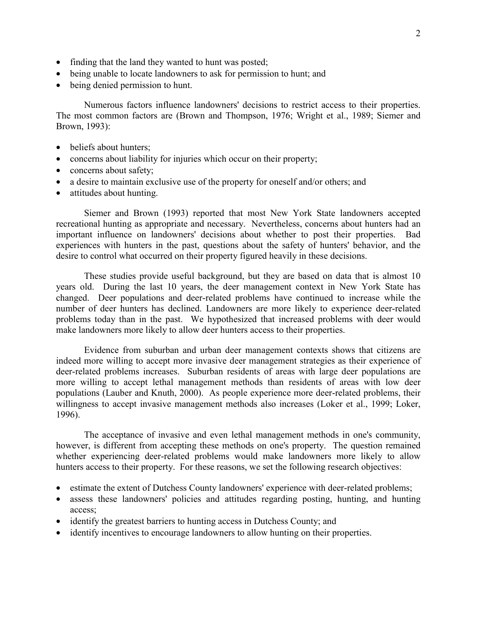- finding that the land they wanted to hunt was posted;
- being unable to locate landowners to ask for permission to hunt: and
- being denied permission to hunt.

Numerous factors influence landowners' decisions to restrict access to their properties. The most common factors are (Brown and Thompson, 1976; Wright et al., 1989; Siemer and Brown, 1993):

- beliefs about hunters;
- concerns about liability for injuries which occur on their property;
- concerns about safety;
- a desire to maintain exclusive use of the property for oneself and/or others; and
- attitudes about hunting.

Siemer and Brown (1993) reported that most New York State landowners accepted recreational hunting as appropriate and necessary. Nevertheless, concerns about hunters had an important influence on landowners' decisions about whether to post their properties. Bad experiences with hunters in the past, questions about the safety of hunters' behavior, and the desire to control what occurred on their property figured heavily in these decisions.

These studies provide useful background, but they are based on data that is almost 10 years old. During the last 10 years, the deer management context in New York State has changed. Deer populations and deer-related problems have continued to increase while the number of deer hunters has declined. Landowners are more likely to experience deer-related problems today than in the past. We hypothesized that increased problems with deer would make landowners more likely to allow deer hunters access to their properties.

Evidence from suburban and urban deer management contexts shows that citizens are indeed more willing to accept more invasive deer management strategies as their experience of deer-related problems increases. Suburban residents of areas with large deer populations are more willing to accept lethal management methods than residents of areas with low deer populations (Lauber and Knuth, 2000). As people experience more deer-related problems, their willingness to accept invasive management methods also increases (Loker et al., 1999; Loker, 1996).

The acceptance of invasive and even lethal management methods in one's community, however, is different from accepting these methods on one's property. The question remained whether experiencing deer-related problems would make landowners more likely to allow hunters access to their property. For these reasons, we set the following research objectives:

- estimate the extent of Dutchess County landowners' experience with deer-related problems;
- assess these landowners' policies and attitudes regarding posting, hunting, and hunting access;
- identify the greatest barriers to hunting access in Dutchess County; and
- identify incentives to encourage landowners to allow hunting on their properties.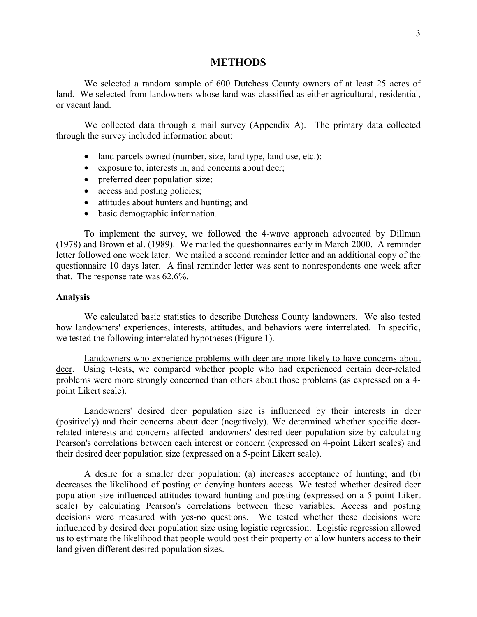#### **METHODS**

<span id="page-11-0"></span>We selected a random sample of 600 Dutchess County owners of at least 25 acres of land. We selected from landowners whose land was classified as either agricultural, residential, or vacant land.

We collected data through a mail survey [\(Appendix A](#page-35-0)). The primary data collected through the survey included information about:

- land parcels owned (number, size, land type, land use, etc.);
- exposure to, interests in, and concerns about deer;
- preferred deer population size;
- access and posting policies;
- attitudes about hunters and hunting; and
- basic demographic information.

To implement the survey, we followed the 4-wave approach advocated by Dillman (1978) and Brown et al. (1989). We mailed the questionnaires early in March 2000. A reminder letter followed one week later. We mailed a second reminder letter and an additional copy of the questionnaire 10 days later. A final reminder letter was sent to nonrespondents one week after that. The response rate was 62.6%.

#### **Analysis**

We calculated basic statistics to describe Dutchess County landowners. We also tested how landowners' experiences, interests, attitudes, and behaviors were interrelated. In specific, we tested the following interrelated hypotheses ([Figure 1\)](#page-12-0).

Landowners who experience problems with deer are more likely to have concerns about deer. Using t-tests, we compared whether people who had experienced certain deer-related problems were more strongly concerned than others about those problems (as expressed on a 4 point Likert scale).

Landowners' desired deer population size is influenced by their interests in deer (positively) and their concerns about deer (negatively). We determined whether specific deerrelated interests and concerns affected landowners' desired deer population size by calculating Pearson's correlations between each interest or concern (expressed on 4-point Likert scales) and their desired deer population size (expressed on a 5-point Likert scale).

A desire for a smaller deer population: (a) increases acceptance of hunting; and (b) decreases the likelihood of posting or denying hunters access. We tested whether desired deer population size influenced attitudes toward hunting and posting (expressed on a 5-point Likert scale) by calculating Pearson's correlations between these variables. Access and posting decisions were measured with yes-no questions. We tested whether these decisions were influenced by desired deer population size using logistic regression. Logistic regression allowed us to estimate the likelihood that people would post their property or allow hunters access to their land given different desired population sizes.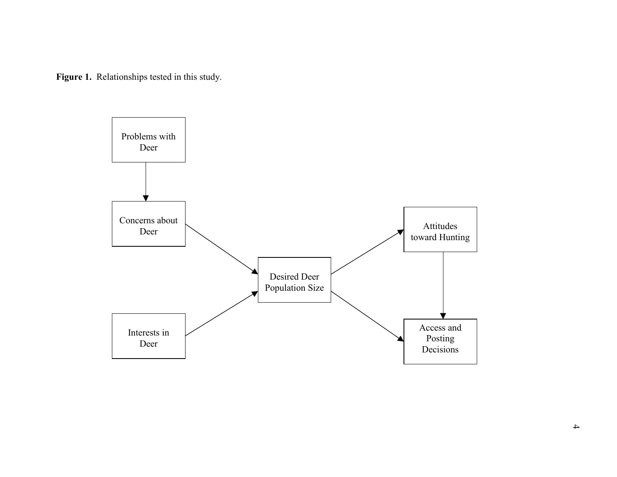<span id="page-12-0"></span>**Figure 1.** Relationships tested in this study.

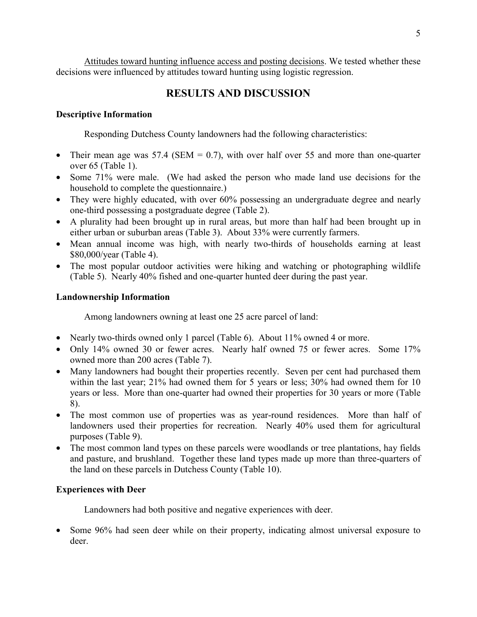<span id="page-13-0"></span>Attitudes toward hunting influence access and posting decisions. We tested whether these decisions were influenced by attitudes toward hunting using logistic regression.

### **RESULTS AND DISCUSSION**

#### **Descriptive Information**

Responding Dutchess County landowners had the following characteristics:

- Their mean age was 57.4 (SEM = 0.7), with over half over 55 and more than one-quarter over 65 [\(Table 1\)](#page-14-0).
- Some 71% were male. (We had asked the person who made land use decisions for the household to complete the questionnaire.)
- They were highly educated, with over 60% possessing an undergraduate degree and nearly one-third possessing a postgraduate degree [\(Table 2\)](#page-14-0).
- A plurality had been brought up in rural areas, but more than half had been brought up in either urban or suburban areas [\(Table 3\)](#page-14-0). About 33% were currently farmers.
- Mean annual income was high, with nearly two-thirds of households earning at least \$80,000/year ([Table 4\)](#page-14-0).
- The most popular outdoor activities were hiking and watching or photographing wildlife ([Table 5\)](#page-15-0). Nearly 40% fished and one-quarter hunted deer during the past year.

#### **Landownership Information**

Among landowners owning at least one 25 acre parcel of land:

- Nearly two-thirds owned only 1 parcel [\(Table 6\)](#page-15-0). About 11% owned 4 or more.
- Only 14% owned 30 or fewer acres. Nearly half owned 75 or fewer acres. Some 17% owned more than 200 acres [\(Table 7\)](#page-15-0).
- Many landowners had bought their properties recently. Seven per cent had purchased them within the last year; 21% had owned them for 5 years or less; 30% had owned them for 10 years or less. More than one-quarter had owned their properties for 30 years or more ([Table](#page-16-0) [8](#page-16-0)).
- The most common use of properties was as year-round residences. More than half of landowners used their properties for recreation. Nearly 40% used them for agricultural purposes ([Table 9\)](#page-16-0).
- The most common land types on these parcels were woodlands or tree plantations, hay fields and pasture, and brushland. Together these land types made up more than three-quarters of the land on these parcels in Dutchess County ([Table 10\)](#page-17-0).

#### **Experiences with Deer**

Landowners had both positive and negative experiences with deer.

• Some 96% had seen deer while on their property, indicating almost universal exposure to deer.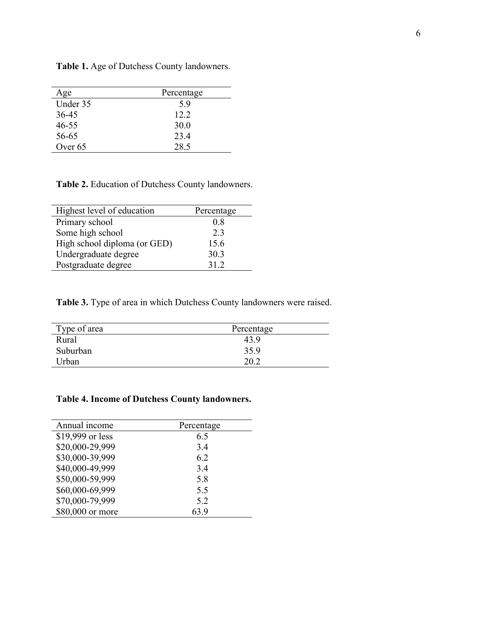| Age       | Percentage |
|-----------|------------|
| Under 35  | 59         |
| $36 - 45$ | 12.2       |
| $46 - 55$ | 30.0       |
| 56-65     | 23.4       |
| Over 65   | 28.5       |

<span id="page-14-0"></span>**Table 1.** Age of Dutchess County landowners.

**Table 2.** Education of Dutchess County landowners.

| Highest level of education   | Percentage |
|------------------------------|------------|
| Primary school               | 08         |
| Some high school             | 2.3        |
| High school diploma (or GED) | 15.6       |
| Undergraduate degree         | 30.3       |
| Postgraduate degree          | 31 2       |

**Table 3.** Type of area in which Dutchess County landowners were raised.

| Percentage |  |
|------------|--|
| 43 9       |  |
| 35.9       |  |
| 20.2       |  |
|            |  |

#### **Table 4. Income of Dutchess County landowners.**

| Annual income    | Percentage |
|------------------|------------|
| \$19,999 or less | 6.5        |
| \$20,000-29,999  | 3.4        |
| \$30,000-39,999  | 6.2        |
| \$40,000-49,999  | 3.4        |
| \$50,000-59,999  | 5.8        |
| \$60,000-69,999  | 5.5        |
| \$70,000-79,999  | 5.2        |
| \$80,000 or more | 63.9       |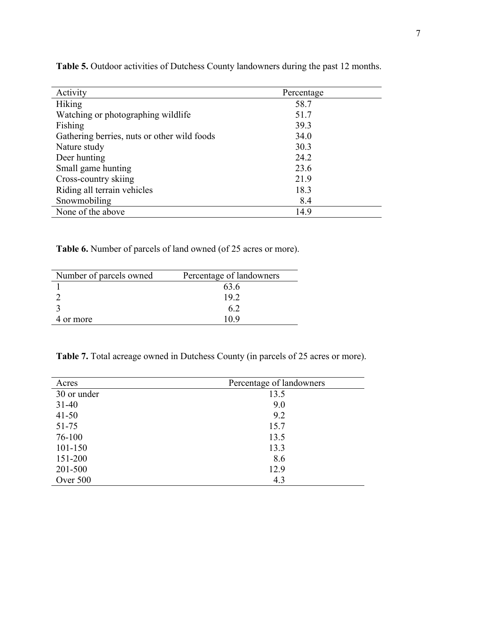| Activity                                    | Percentage |
|---------------------------------------------|------------|
| <b>Hiking</b>                               | 58.7       |
| Watching or photographing wildlife          | 51.7       |
| Fishing                                     | 39.3       |
| Gathering berries, nuts or other wild foods | 34.0       |
| Nature study                                | 30.3       |
| Deer hunting                                | 24.2       |
| Small game hunting                          | 23.6       |
| Cross-country skiing                        | 21.9       |
| Riding all terrain vehicles                 | 18.3       |
| Snowmobiling                                | 8.4        |
| None of the above                           | 14.9       |

<span id="page-15-0"></span>**Table 5.** Outdoor activities of Dutchess County landowners during the past 12 months.

**Table 6.** Number of parcels of land owned (of 25 acres or more).

| Number of parcels owned | Percentage of landowners |
|-------------------------|--------------------------|
|                         | 63.6                     |
|                         | 192                      |
|                         |                          |
| 4 or more               | 11 Y                     |

**Table 7.** Total acreage owned in Dutchess County (in parcels of 25 acres or more).

| Acres       | Percentage of landowners |
|-------------|--------------------------|
| 30 or under | 13.5                     |
| $31 - 40$   | 9.0                      |
| $41 - 50$   | 9.2                      |
| 51-75       | 15.7                     |
| 76-100      | 13.5                     |
| 101-150     | 13.3                     |
| 151-200     | 8.6                      |
| 201-500     | 12.9                     |
| Over 500    | 4.3                      |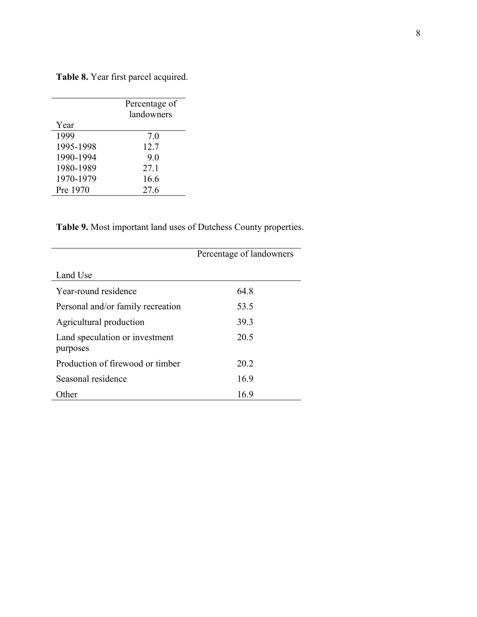|           | Percentage of<br>landowners |
|-----------|-----------------------------|
| Year      |                             |
| 1999      | 70                          |
| 1995-1998 | 12.7                        |
| 1990-1994 | 9.0                         |
| 1980-1989 | 27.1                        |
| 1970-1979 | 16.6                        |
| Pre 1970  | 27.6                        |

<span id="page-16-0"></span>**Table 8.** Year first parcel acquired.

**Table 9.** Most important land uses of Dutchess County properties.

|                                            | Percentage of landowners |
|--------------------------------------------|--------------------------|
| Land Use                                   |                          |
| Year-round residence                       | 64 8                     |
| Personal and/or family recreation          | 53.5                     |
| Agricultural production                    | 393                      |
| Land speculation or investment<br>purposes | 20.5                     |
| Production of firewood or timber           | 20 2                     |
| Seasonal residence                         | 169                      |
| )ther                                      | 16.9                     |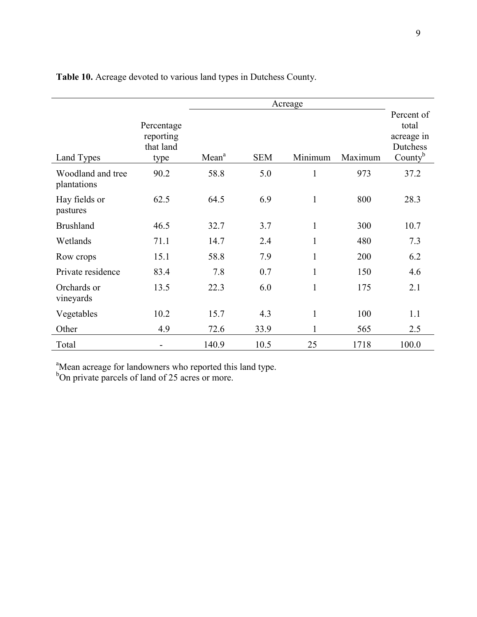|                                  | Acreage                                      |                   |            |              |         |                                                             |
|----------------------------------|----------------------------------------------|-------------------|------------|--------------|---------|-------------------------------------------------------------|
| Land Types                       | Percentage<br>reporting<br>that land<br>type | Mean <sup>a</sup> | <b>SEM</b> | Minimum      | Maximum | Percent of<br>total<br>acreage in<br>Dutchess<br>County $b$ |
| Woodland and tree<br>plantations | 90.2                                         | 58.8              | 5.0        | $\mathbf{1}$ | 973     | 37.2                                                        |
| Hay fields or<br>pastures        | 62.5                                         | 64.5              | 6.9        | $\mathbf{1}$ | 800     | 28.3                                                        |
| <b>Brushland</b>                 | 46.5                                         | 32.7              | 3.7        | $\mathbf{1}$ | 300     | 10.7                                                        |
| Wetlands                         | 71.1                                         | 14.7              | 2.4        | 1            | 480     | 7.3                                                         |
| Row crops                        | 15.1                                         | 58.8              | 7.9        | $\mathbf{1}$ | 200     | 6.2                                                         |
| Private residence                | 83.4                                         | 7.8               | 0.7        | $\mathbf{1}$ | 150     | 4.6                                                         |
| Orchards or<br>vineyards         | 13.5                                         | 22.3              | 6.0        | $\mathbf{1}$ | 175     | 2.1                                                         |
| Vegetables                       | 10.2                                         | 15.7              | 4.3        | $\mathbf{1}$ | 100     | 1.1                                                         |
| Other                            | 4.9                                          | 72.6              | 33.9       | $\mathbf{1}$ | 565     | 2.5                                                         |
| Total                            |                                              | 140.9             | 10.5       | 25           | 1718    | 100.0                                                       |

<span id="page-17-0"></span>**Table 10.** Acreage devoted to various land types in Dutchess County.

<sup>a</sup>Mean acreage for landowners who reported this land type.<br><sup>b</sup>On private parcels of land of 25 acres or more.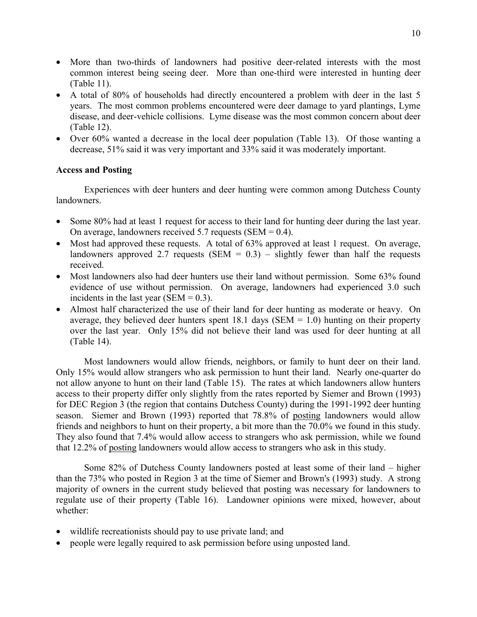- <span id="page-18-0"></span>• More than two-thirds of landowners had positive deer-related interests with the most common interest being seeing deer. More than one-third were interested in hunting deer ([Table 11\)](#page-19-0).
- A total of 80% of households had directly encountered a problem with deer in the last 5 years. The most common problems encountered were deer damage to yard plantings, Lyme disease, and deer-vehicle collisions. Lyme disease was the most common concern about deer ([Table 12\)](#page-19-0).
- Over 60% wanted a decrease in the local deer population [\(Table 13\)](#page-20-0). Of those wanting a decrease, 51% said it was very important and 33% said it was moderately important.

#### **Access and Posting**

Experiences with deer hunters and deer hunting were common among Dutchess County landowners.

- Some 80% had at least 1 request for access to their land for hunting deer during the last year. On average, landowners received 5.7 requests (SEM =  $0.4$ ).
- Most had approved these requests. A total of 63% approved at least 1 request. On average, landowners approved 2.7 requests (SEM =  $0.3$ ) – slightly fewer than half the requests received.
- Most landowners also had deer hunters use their land without permission. Some 63% found evidence of use without permission. On average, landowners had experienced 3.0 such incidents in the last year (SEM =  $0.3$ ).
- Almost half characterized the use of their land for deer hunting as moderate or heavy. On average, they believed deer hunters spent 18.1 days (SEM  $= 1.0$ ) hunting on their property over the last year. Only 15% did not believe their land was used for deer hunting at all ([Table 14\)](#page-20-0).

Most landowners would allow friends, neighbors, or family to hunt deer on their land. Only 15% would allow strangers who ask permission to hunt their land. Nearly one-quarter do not allow anyone to hunt on their land [\(Table 15](#page-20-0)). The rates at which landowners allow hunters access to their property differ only slightly from the rates reported by Siemer and Brown (1993) for DEC Region 3 (the region that contains Dutchess County) during the 1991-1992 deer hunting season. Siemer and Brown (1993) reported that 78.8% of posting landowners would allow friends and neighbors to hunt on their property, a bit more than the 70.0% we found in this study. They also found that 7.4% would allow access to strangers who ask permission, while we found that 12.2% of posting landowners would allow access to strangers who ask in this study.

Some 82% of Dutchess County landowners posted at least some of their land – higher than the 73% who posted in Region 3 at the time of Siemer and Brown's (1993) study. A strong majority of owners in the current study believed that posting was necessary for landowners to regulate use of their property [\(Table 16\)](#page-21-0). Landowner opinions were mixed, however, about whether:

- wildlife recreationists should pay to use private land; and
- people were legally required to ask permission before using unposted land.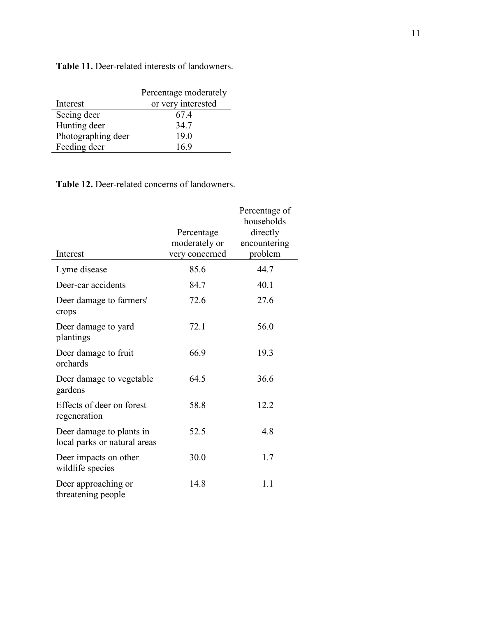|                    | Percentage moderately |
|--------------------|-----------------------|
| Interest           | or very interested    |
| Seeing deer        | 674                   |
| Hunting deer       | 34.7                  |
| Photographing deer | 19.0                  |
| Feeding deer       | 16.9                  |

<span id="page-19-0"></span>**Table 11.** Deer-related interests of landowners.

#### **Table 12.** Deer-related concerns of landowners.

| Interest                                                 | Percentage<br>moderately or<br>very concerned | Percentage of<br>households<br>directly<br>encountering<br>problem |
|----------------------------------------------------------|-----------------------------------------------|--------------------------------------------------------------------|
| Lyme disease                                             | 85.6                                          | 44.7                                                               |
| Deer-car accidents                                       | 84.7                                          | 40.1                                                               |
| Deer damage to farmers'<br>crops                         | 72.6                                          | 27.6                                                               |
| Deer damage to yard<br>plantings                         | 72.1                                          | 56.0                                                               |
| Deer damage to fruit<br>orchards                         | 66.9                                          | 19.3                                                               |
| Deer damage to vegetable<br>gardens                      | 64.5                                          | 36.6                                                               |
| Effects of deer on forest<br>regeneration                | 58.8                                          | 12.2                                                               |
| Deer damage to plants in<br>local parks or natural areas | 52.5                                          | 4.8                                                                |
| Deer impacts on other<br>wildlife species                | 30.0                                          | 1.7                                                                |
| Deer approaching or<br>threatening people                | 14.8                                          | 1.1                                                                |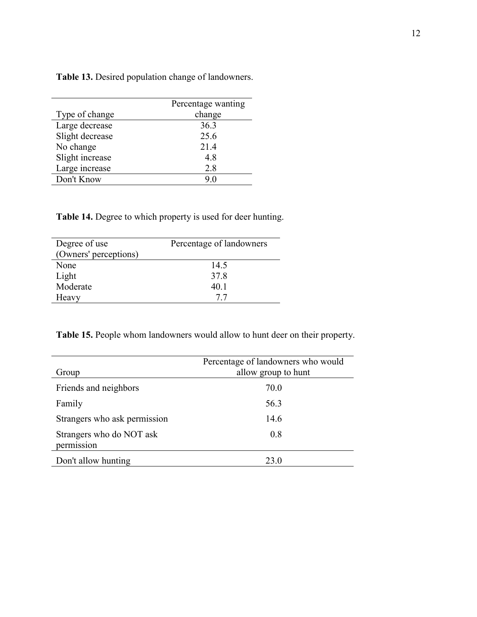|                 | Percentage wanting |
|-----------------|--------------------|
| Type of change  | change             |
| Large decrease  | 36.3               |
| Slight decrease | 25.6               |
| No change       | 21.4               |
| Slight increase | 4.8                |
| Large increase  | 2.8                |
| Don't Know      | 90                 |

<span id="page-20-0"></span>**Table 13.** Desired population change of landowners.

**Table 14.** Degree to which property is used for deer hunting.

| Degree of use<br>(Owners' perceptions) | Percentage of landowners |
|----------------------------------------|--------------------------|
| None                                   | 14.5                     |
| Light                                  | 37.8                     |
| Moderate                               | 40 1                     |
| Heavy                                  |                          |

**Table 15.** People whom landowners would allow to hunt deer on their property.

| Group                                  | Percentage of landowners who would<br>allow group to hunt |
|----------------------------------------|-----------------------------------------------------------|
| Friends and neighbors                  | 70.0                                                      |
| Family                                 | 56.3                                                      |
| Strangers who ask permission           | 14.6                                                      |
| Strangers who do NOT ask<br>permission | 0.8                                                       |
| Don't allow hunting                    | 23.0                                                      |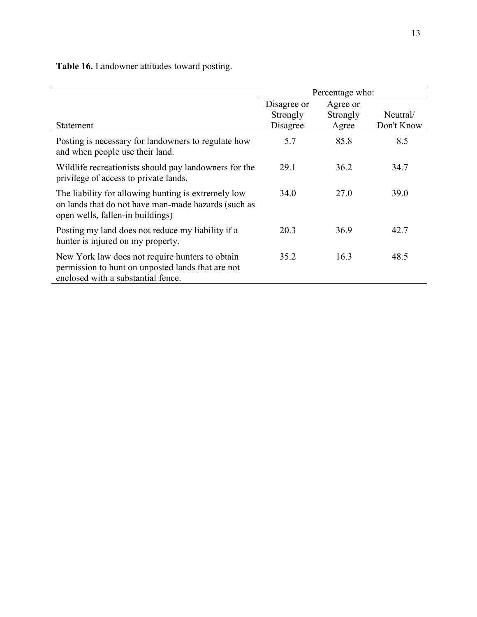<span id="page-21-0"></span>**Table 16.** Landowner attitudes toward posting.

|                                                                                                                                                |                                     | Percentage who:               |                        |
|------------------------------------------------------------------------------------------------------------------------------------------------|-------------------------------------|-------------------------------|------------------------|
| Statement                                                                                                                                      | Disagree or<br>Strongly<br>Disagree | Agree or<br>Strongly<br>Agree | Neutral/<br>Don't Know |
| Posting is necessary for landowners to regulate how<br>and when people use their land.                                                         | 5.7                                 | 85.8                          | 8.5                    |
| Wildlife recreationists should pay landowners for the<br>privilege of access to private lands.                                                 | 29.1                                | 36.2                          | 34.7                   |
| The liability for allowing hunting is extremely low<br>on lands that do not have man-made hazards (such as<br>open wells, fallen-in buildings) | 34.0                                | 27.0                          | 39.0                   |
| Posting my land does not reduce my liability if a<br>hunter is injured on my property.                                                         | 20.3                                | 36.9                          | 42.7                   |
| New York law does not require hunters to obtain<br>permission to hunt on unposted lands that are not<br>enclosed with a substantial fence.     | 35.2                                | 16.3                          | 48.5                   |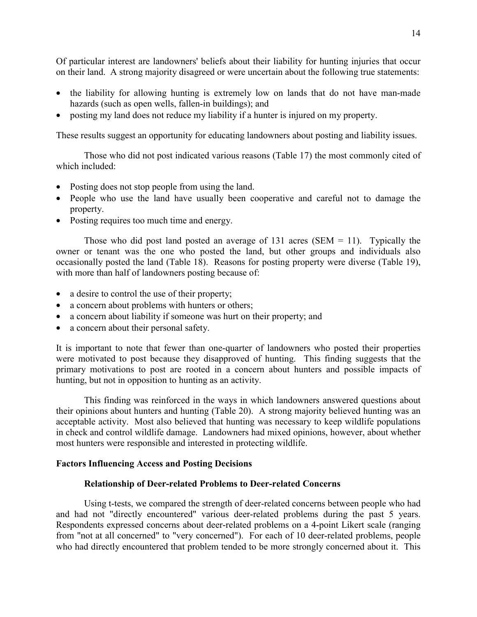<span id="page-22-0"></span>Of particular interest are landowners' beliefs about their liability for hunting injuries that occur on their land. A strong majority disagreed or were uncertain about the following true statements:

- the liability for allowing hunting is extremely low on lands that do not have man-made hazards (such as open wells, fallen-in buildings); and
- posting my land does not reduce my liability if a hunter is injured on my property.

These results suggest an opportunity for educating landowners about posting and liability issues.

Those who did not post indicated various reasons [\(Table 17](#page-23-0)) the most commonly cited of which included:

- Posting does not stop people from using the land.
- People who use the land have usually been cooperative and careful not to damage the property.
- Posting requires too much time and energy.

Those who did post land posted an average of  $131$  acres (SEM = 11). Typically the owner or tenant was the one who posted the land, but other groups and individuals also occasionally posted the land [\(Table 18\)](#page-23-0). Reasons for posting property were diverse ([Table 19\)](#page-24-0), with more than half of landowners posting because of:

- a desire to control the use of their property;
- a concern about problems with hunters or others;
- a concern about liability if someone was hurt on their property; and
- a concern about their personal safety.

It is important to note that fewer than one-quarter of landowners who posted their properties were motivated to post because they disapproved of hunting. This finding suggests that the primary motivations to post are rooted in a concern about hunters and possible impacts of hunting, but not in opposition to hunting as an activity.

This finding was reinforced in the ways in which landowners answered questions about their opinions about hunters and hunting [\(Table 20](#page-24-0)). A strong majority believed hunting was an acceptable activity. Most also believed that hunting was necessary to keep wildlife populations in check and control wildlife damage. Landowners had mixed opinions, however, about whether most hunters were responsible and interested in protecting wildlife.

#### **Factors Influencing Access and Posting Decisions**

#### **Relationship of Deer-related Problems to Deer-related Concerns**

Using t-tests, we compared the strength of deer-related concerns between people who had and had not "directly encountered" various deer-related problems during the past 5 years. Respondents expressed concerns about deer-related problems on a 4-point Likert scale (ranging from "not at all concerned" to "very concerned"). For each of 10 deer-related problems, people who had directly encountered that problem tended to be more strongly concerned about it. This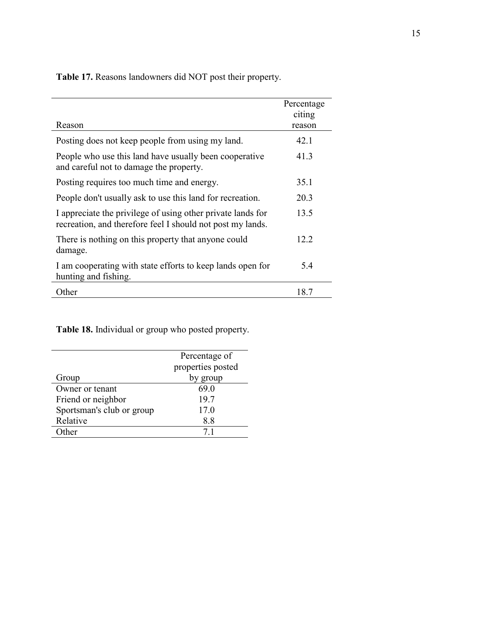<span id="page-23-0"></span>**Table 17.** Reasons landowners did NOT post their property.

|                                                                                                                           | Percentage<br>citing |
|---------------------------------------------------------------------------------------------------------------------------|----------------------|
| Reason                                                                                                                    | reason               |
| Posting does not keep people from using my land.                                                                          | 42.1                 |
| People who use this land have usually been cooperative<br>and careful not to damage the property.                         | 41.3                 |
| Posting requires too much time and energy.                                                                                | 35.1                 |
| People don't usually ask to use this land for recreation.                                                                 | 20.3                 |
| I appreciate the privilege of using other private lands for<br>recreation, and therefore feel I should not post my lands. | 13.5                 |
| There is nothing on this property that anyone could<br>damage.                                                            | 12.2                 |
| I am cooperating with state efforts to keep lands open for<br>hunting and fishing.                                        | 5.4                  |
| Other                                                                                                                     | 18.7                 |

**Table 18.** Individual or group who posted property.

| Percentage of     |  |
|-------------------|--|
| properties posted |  |
| by group          |  |
| 69.0              |  |
| 19.7              |  |
| 17.0              |  |
| 8.8               |  |
| 71                |  |
|                   |  |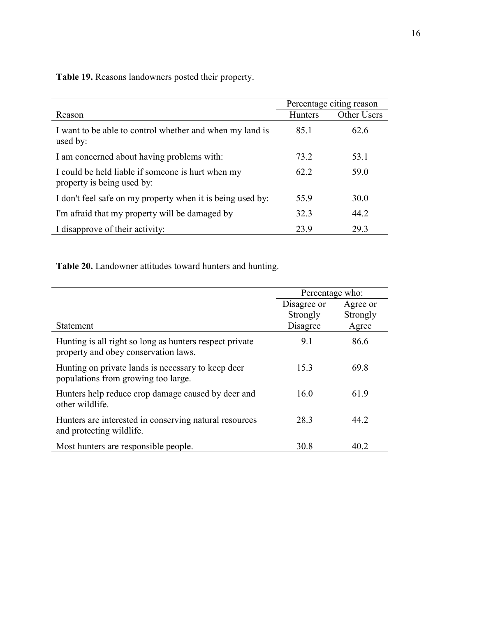|                                                                                 | Percentage citing reason |             |
|---------------------------------------------------------------------------------|--------------------------|-------------|
| Reason                                                                          | <b>Hunters</b>           | Other Users |
| I want to be able to control whether and when my land is<br>used by:            | 851                      | 62.6        |
| I am concerned about having problems with:                                      | 73.2                     | 53.1        |
| I could be held liable if someone is hurt when my<br>property is being used by: | 62 2                     | 59.0        |
| I don't feel safe on my property when it is being used by:                      | 55.9                     | 30.0        |
| I'm afraid that my property will be damaged by                                  | 32.3                     | 44.2        |
| I disapprove of their activity:                                                 | 23.9                     | 29.3        |

<span id="page-24-0"></span>**Table 19.** Reasons landowners posted their property.

**Table 20.** Landowner attitudes toward hunters and hunting.

|                                                                                                 | Percentage who:                     |                               |
|-------------------------------------------------------------------------------------------------|-------------------------------------|-------------------------------|
| Statement                                                                                       | Disagree or<br>Strongly<br>Disagree | Agree or<br>Strongly<br>Agree |
| Hunting is all right so long as hunters respect private<br>property and obey conservation laws. | 9.1                                 | 86.6                          |
| Hunting on private lands is necessary to keep deer<br>populations from growing too large.       | 15.3                                | 69.8                          |
| Hunters help reduce crop damage caused by deer and<br>other wildlife.                           | 16.0                                | 61.9                          |
| Hunters are interested in conserving natural resources<br>and protecting wildlife.              | 28.3                                | 44.2                          |
| Most hunters are responsible people.                                                            | 30.8                                | 40.2                          |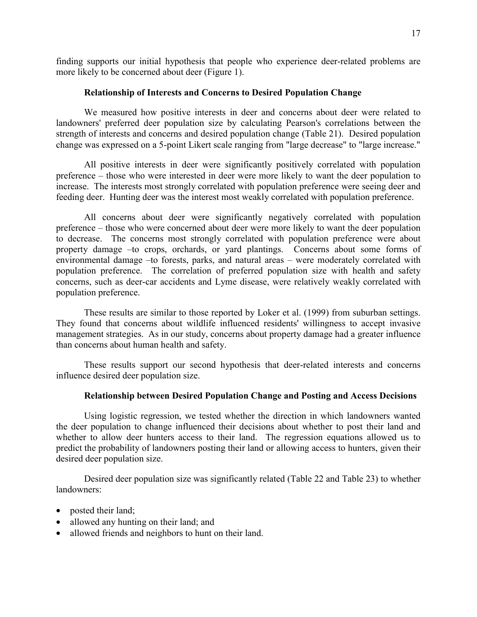<span id="page-25-0"></span>finding supports our initial hypothesis that people who experience deer-related problems are more likely to be concerned about deer [\(Figure 1\)](#page-12-0).

#### **Relationship of Interests and Concerns to Desired Population Change**

We measured how positive interests in deer and concerns about deer were related to landowners' preferred deer population size by calculating Pearson's correlations between the strength of interests and concerns and desired population change [\(Table 21](#page-26-0)). Desired population change was expressed on a 5-point Likert scale ranging from "large decrease" to "large increase."

All positive interests in deer were significantly positively correlated with population preference – those who were interested in deer were more likely to want the deer population to increase. The interests most strongly correlated with population preference were seeing deer and feeding deer. Hunting deer was the interest most weakly correlated with population preference.

All concerns about deer were significantly negatively correlated with population preference – those who were concerned about deer were more likely to want the deer population to decrease. The concerns most strongly correlated with population preference were about property damage –to crops, orchards, or yard plantings. Concerns about some forms of environmental damage –to forests, parks, and natural areas – were moderately correlated with population preference. The correlation of preferred population size with health and safety concerns, such as deer-car accidents and Lyme disease, were relatively weakly correlated with population preference.

These results are similar to those reported by Loker et al. (1999) from suburban settings. They found that concerns about wildlife influenced residents' willingness to accept invasive management strategies. As in our study, concerns about property damage had a greater influence than concerns about human health and safety.

These results support our second hypothesis that deer-related interests and concerns influence desired deer population size.

#### **Relationship between Desired Population Change and Posting and Access Decisions**

Using logistic regression, we tested whether the direction in which landowners wanted the deer population to change influenced their decisions about whether to post their land and whether to allow deer hunters access to their land. The regression equations allowed us to predict the probability of landowners posting their land or allowing access to hunters, given their desired deer population size.

Desired deer population size was significantly related [\(Table 22](#page-27-0) and [Table 23](#page-27-0)) to whether landowners:

- posted their land;
- allowed any hunting on their land; and
- allowed friends and neighbors to hunt on their land.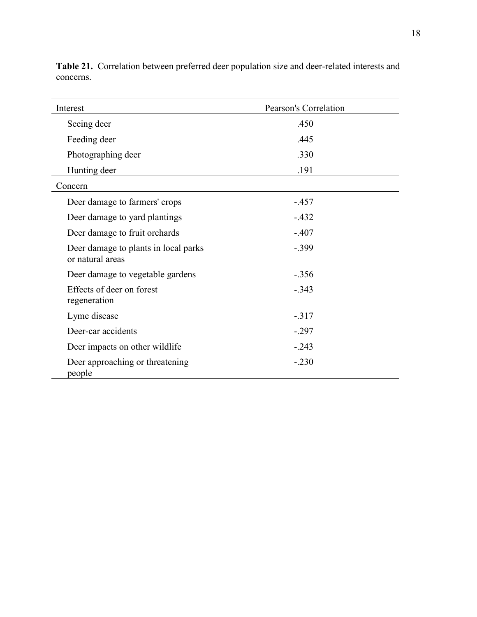| Interest                                                 | Pearson's Correlation |
|----------------------------------------------------------|-----------------------|
| Seeing deer                                              | .450                  |
| Feeding deer                                             | .445                  |
| Photographing deer                                       | .330                  |
| Hunting deer                                             | .191                  |
| Concern                                                  |                       |
| Deer damage to farmers' crops                            | $-.457$               |
| Deer damage to yard plantings                            | $-432$                |
| Deer damage to fruit orchards                            | $-.407$               |
| Deer damage to plants in local parks<br>or natural areas | $-.399$               |
| Deer damage to vegetable gardens                         | $-.356$               |
| Effects of deer on forest<br>regeneration                | $-0.343$              |
| Lyme disease                                             | $-317$                |
| Deer-car accidents                                       | $-.297$               |
| Deer impacts on other wildlife                           | $-.243$               |
| Deer approaching or threatening<br>people                | $-.230$               |

<span id="page-26-0"></span>**Table 21.** Correlation between preferred deer population size and deer-related interests and concerns.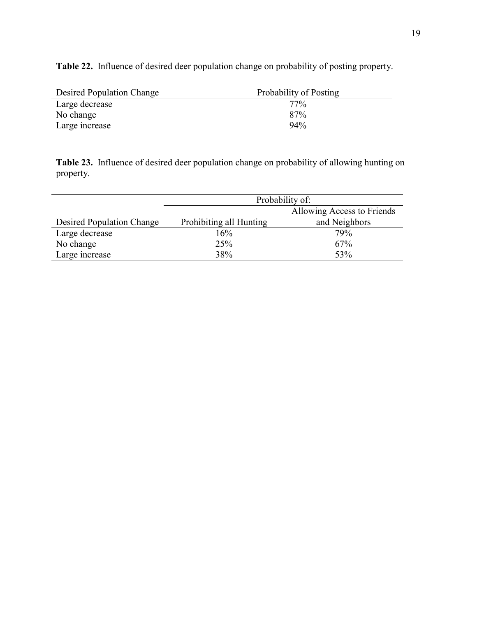| <b>Desired Population Change</b> | Probability of Posting |
|----------------------------------|------------------------|
| Large decrease                   | $77\%$                 |
| No change                        | 87%                    |
| Large increase                   | 94%                    |

<span id="page-27-0"></span>**Table 22.** Influence of desired deer population change on probability of posting property.

**Table 23.** Influence of desired deer population change on probability of allowing hunting on property.

|                           | Probability of:         |                            |  |  |
|---------------------------|-------------------------|----------------------------|--|--|
|                           |                         | Allowing Access to Friends |  |  |
| Desired Population Change | Prohibiting all Hunting | and Neighbors              |  |  |
| Large decrease            | 16%                     | 79%                        |  |  |
| No change                 | 25%                     | 67%                        |  |  |
| Large increase            | 38%                     | 53%                        |  |  |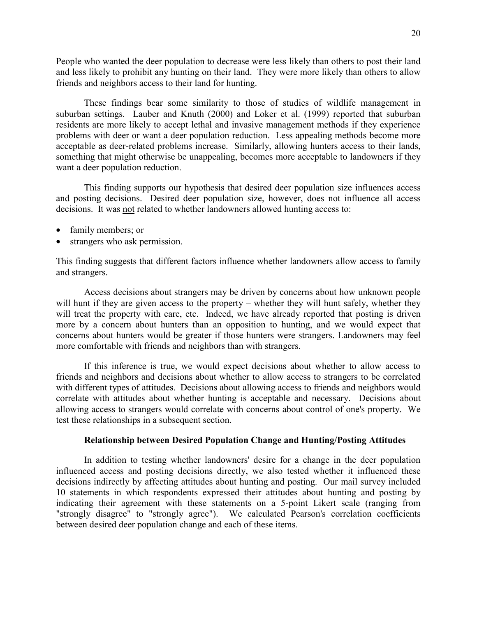<span id="page-28-0"></span>People who wanted the deer population to decrease were less likely than others to post their land and less likely to prohibit any hunting on their land. They were more likely than others to allow friends and neighbors access to their land for hunting.

These findings bear some similarity to those of studies of wildlife management in suburban settings. Lauber and Knuth (2000) and Loker et al. (1999) reported that suburban residents are more likely to accept lethal and invasive management methods if they experience problems with deer or want a deer population reduction. Less appealing methods become more acceptable as deer-related problems increase. Similarly, allowing hunters access to their lands, something that might otherwise be unappealing, becomes more acceptable to landowners if they want a deer population reduction.

This finding supports our hypothesis that desired deer population size influences access and posting decisions. Desired deer population size, however, does not influence all access decisions. It was not related to whether landowners allowed hunting access to:

- family members; or
- strangers who ask permission.

This finding suggests that different factors influence whether landowners allow access to family and strangers.

Access decisions about strangers may be driven by concerns about how unknown people will hunt if they are given access to the property – whether they will hunt safely, whether they will treat the property with care, etc. Indeed, we have already reported that posting is driven more by a concern about hunters than an opposition to hunting, and we would expect that concerns about hunters would be greater if those hunters were strangers. Landowners may feel more comfortable with friends and neighbors than with strangers.

If this inference is true, we would expect decisions about whether to allow access to friends and neighbors and decisions about whether to allow access to strangers to be correlated with different types of attitudes. Decisions about allowing access to friends and neighbors would correlate with attitudes about whether hunting is acceptable and necessary. Decisions about allowing access to strangers would correlate with concerns about control of one's property. We test these relationships in a subsequent section.

#### **Relationship between Desired Population Change and Hunting/Posting Attitudes**

In addition to testing whether landowners' desire for a change in the deer population influenced access and posting decisions directly, we also tested whether it influenced these decisions indirectly by affecting attitudes about hunting and posting. Our mail survey included 10 statements in which respondents expressed their attitudes about hunting and posting by indicating their agreement with these statements on a 5-point Likert scale (ranging from "strongly disagree" to "strongly agree"). We calculated Pearson's correlation coefficients between desired deer population change and each of these items.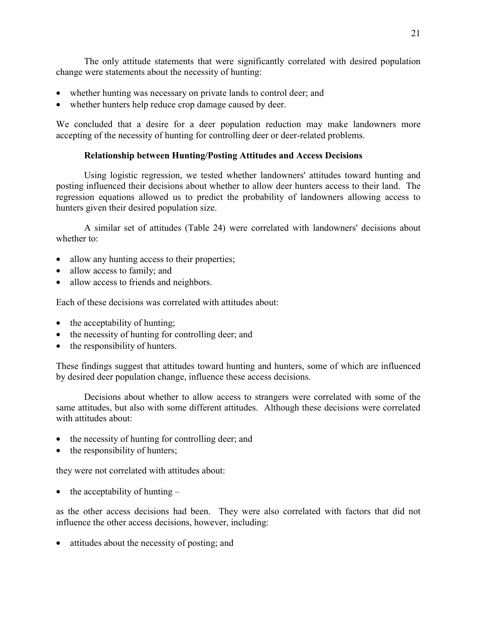<span id="page-29-0"></span>The only attitude statements that were significantly correlated with desired population change were statements about the necessity of hunting:

- whether hunting was necessary on private lands to control deer; and
- whether hunters help reduce crop damage caused by deer.

We concluded that a desire for a deer population reduction may make landowners more accepting of the necessity of hunting for controlling deer or deer-related problems.

#### **Relationship between Hunting/Posting Attitudes and Access Decisions**

Using logistic regression, we tested whether landowners' attitudes toward hunting and posting influenced their decisions about whether to allow deer hunters access to their land. The regression equations allowed us to predict the probability of landowners allowing access to hunters given their desired population size.

A similar set of attitudes [\(Table 24\)](#page-30-0) were correlated with landowners' decisions about whether to:

- allow any hunting access to their properties;
- allow access to family; and
- allow access to friends and neighbors.

Each of these decisions was correlated with attitudes about:

- the acceptability of hunting;
- the necessity of hunting for controlling deer; and
- the responsibility of hunters.

These findings suggest that attitudes toward hunting and hunters, some of which are influenced by desired deer population change, influence these access decisions.

Decisions about whether to allow access to strangers were correlated with some of the same attitudes, but also with some different attitudes. Although these decisions were correlated with attitudes about:

- the necessity of hunting for controlling deer; and
- the responsibility of hunters;

they were not correlated with attitudes about:

• the acceptability of hunting  $-$ 

as the other access decisions had been. They were also correlated with factors that did not influence the other access decisions, however, including:

• attitudes about the necessity of posting; and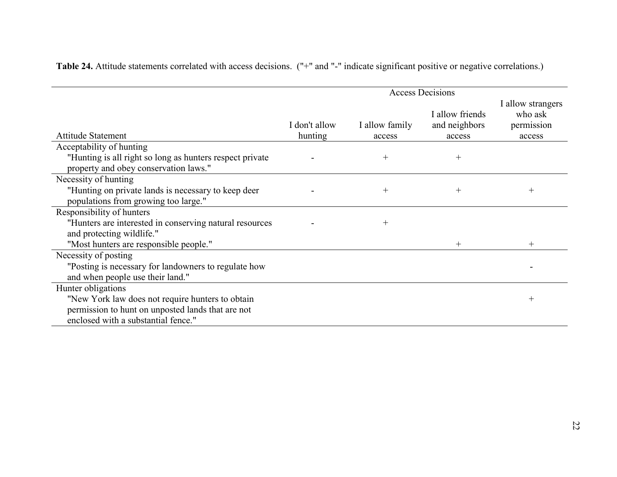|                                                                                                   |                          |                          | <b>Access Decisions</b>                    |                                                      |
|---------------------------------------------------------------------------------------------------|--------------------------|--------------------------|--------------------------------------------|------------------------------------------------------|
| <b>Attitude Statement</b>                                                                         | I don't allow<br>hunting | I allow family<br>access | I allow friends<br>and neighbors<br>access | I allow strangers<br>who ask<br>permission<br>access |
| Acceptability of hunting                                                                          |                          |                          |                                            |                                                      |
| "Hunting is all right so long as hunters respect private<br>property and obey conservation laws." |                          | $\hspace{0.1mm} +$       | $\hspace{0.1mm} +$                         |                                                      |
| Necessity of hunting                                                                              |                          |                          |                                            |                                                      |
| "Hunting on private lands is necessary to keep deer<br>populations from growing too large."       |                          | $\hspace{0.1mm} +$       | $^{+}$                                     | $^{+}$                                               |
| Responsibility of hunters                                                                         |                          |                          |                                            |                                                      |
| "Hunters are interested in conserving natural resources<br>and protecting wildlife."              |                          | $^{+}$                   |                                            |                                                      |
| "Most hunters are responsible people."                                                            |                          |                          | $^{+}$                                     | $^{+}$                                               |
| Necessity of posting                                                                              |                          |                          |                                            |                                                      |
| "Posting is necessary for landowners to regulate how<br>and when people use their land."          |                          |                          |                                            |                                                      |
| Hunter obligations                                                                                |                          |                          |                                            |                                                      |
| "New York law does not require hunters to obtain                                                  |                          |                          |                                            | $^{+}$                                               |
| permission to hunt on unposted lands that are not                                                 |                          |                          |                                            |                                                      |
| enclosed with a substantial fence."                                                               |                          |                          |                                            |                                                      |

<span id="page-30-0"></span>**Table 24.** Attitude statements correlated with access decisions. ("+" and "-" indicate significant positive or negative correlations.)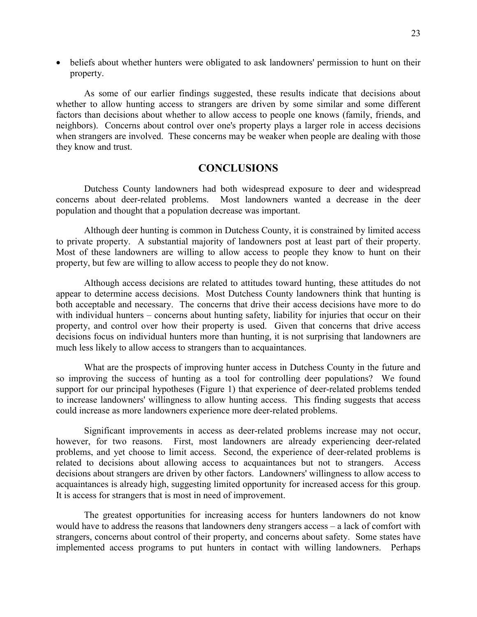<span id="page-31-0"></span>• beliefs about whether hunters were obligated to ask landowners' permission to hunt on their property.

As some of our earlier findings suggested, these results indicate that decisions about whether to allow hunting access to strangers are driven by some similar and some different factors than decisions about whether to allow access to people one knows (family, friends, and neighbors). Concerns about control over one's property plays a larger role in access decisions when strangers are involved. These concerns may be weaker when people are dealing with those they know and trust.

#### **CONCLUSIONS**

Dutchess County landowners had both widespread exposure to deer and widespread concerns about deer-related problems. Most landowners wanted a decrease in the deer population and thought that a population decrease was important.

Although deer hunting is common in Dutchess County, it is constrained by limited access to private property. A substantial majority of landowners post at least part of their property. Most of these landowners are willing to allow access to people they know to hunt on their property, but few are willing to allow access to people they do not know.

Although access decisions are related to attitudes toward hunting, these attitudes do not appear to determine access decisions. Most Dutchess County landowners think that hunting is both acceptable and necessary. The concerns that drive their access decisions have more to do with individual hunters – concerns about hunting safety, liability for injuries that occur on their property, and control over how their property is used. Given that concerns that drive access decisions focus on individual hunters more than hunting, it is not surprising that landowners are much less likely to allow access to strangers than to acquaintances.

What are the prospects of improving hunter access in Dutchess County in the future and so improving the success of hunting as a tool for controlling deer populations? We found support for our principal hypotheses ([Figure 1\)](#page-12-0) that experience of deer-related problems tended to increase landowners' willingness to allow hunting access. This finding suggests that access could increase as more landowners experience more deer-related problems.

Significant improvements in access as deer-related problems increase may not occur, however, for two reasons. First, most landowners are already experiencing deer-related problems, and yet choose to limit access. Second, the experience of deer-related problems is related to decisions about allowing access to acquaintances but not to strangers. Access decisions about strangers are driven by other factors. Landowners' willingness to allow access to acquaintances is already high, suggesting limited opportunity for increased access for this group. It is access for strangers that is most in need of improvement.

The greatest opportunities for increasing access for hunters landowners do not know would have to address the reasons that landowners deny strangers access – a lack of comfort with strangers, concerns about control of their property, and concerns about safety. Some states have implemented access programs to put hunters in contact with willing landowners. Perhaps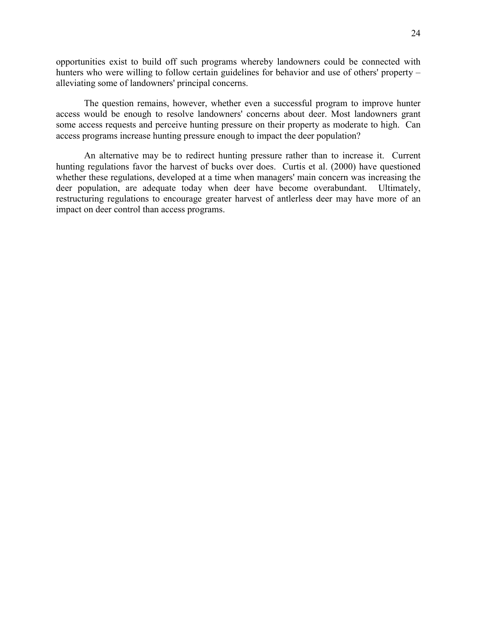opportunities exist to build off such programs whereby landowners could be connected with hunters who were willing to follow certain guidelines for behavior and use of others' property – alleviating some of landowners' principal concerns.

The question remains, however, whether even a successful program to improve hunter access would be enough to resolve landowners' concerns about deer. Most landowners grant some access requests and perceive hunting pressure on their property as moderate to high. Can access programs increase hunting pressure enough to impact the deer population?

An alternative may be to redirect hunting pressure rather than to increase it. Current hunting regulations favor the harvest of bucks over does. Curtis et al. (2000) have questioned whether these regulations, developed at a time when managers' main concern was increasing the deer population, are adequate today when deer have become overabundant. Ultimately, restructuring regulations to encourage greater harvest of antlerless deer may have more of an impact on deer control than access programs.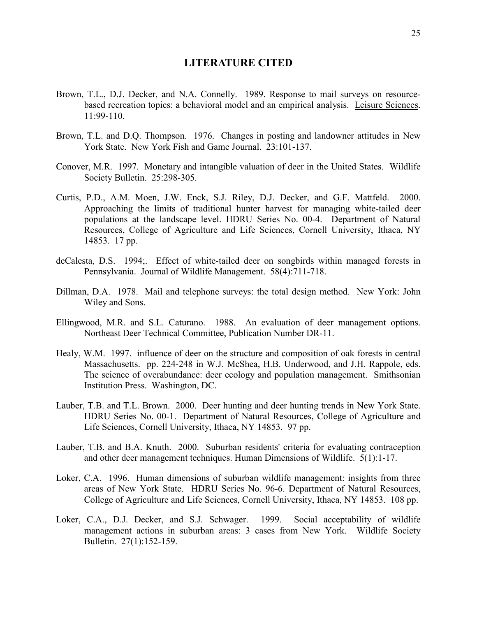#### **LITERATURE CITED**

- <span id="page-33-0"></span>Brown, T.L., D.J. Decker, and N.A. Connelly. 1989. Response to mail surveys on resourcebased recreation topics: a behavioral model and an empirical analysis. Leisure Sciences. 11:99-110.
- Brown, T.L. and D.Q. Thompson. 1976. Changes in posting and landowner attitudes in New York State. New York Fish and Game Journal. 23:101-137.
- Conover, M.R. 1997. Monetary and intangible valuation of deer in the United States. Wildlife Society Bulletin. 25:298-305.
- Curtis, P.D., A.M. Moen, J.W. Enck, S.J. Riley, D.J. Decker, and G.F. Mattfeld. 2000. Approaching the limits of traditional hunter harvest for managing white-tailed deer populations at the landscape level. HDRU Series No. 00-4. Department of Natural Resources, College of Agriculture and Life Sciences, Cornell University, Ithaca, NY 14853. 17 pp.
- deCalesta, D.S. 1994;. Effect of white-tailed deer on songbirds within managed forests in Pennsylvania. Journal of Wildlife Management. 58(4):711-718.
- Dillman, D.A. 1978. Mail and telephone surveys: the total design method. New York: John Wiley and Sons.
- Ellingwood, M.R. and S.L. Caturano. 1988. An evaluation of deer management options. Northeast Deer Technical Committee, Publication Number DR-11.
- Healy, W.M. 1997. influence of deer on the structure and composition of oak forests in central Massachusetts. pp. 224-248 in W.J. McShea, H.B. Underwood, and J.H. Rappole, eds. The science of overabundance: deer ecology and population management. Smithsonian Institution Press. Washington, DC.
- Lauber, T.B. and T.L. Brown. 2000. Deer hunting and deer hunting trends in New York State. HDRU Series No. 00-1. Department of Natural Resources, College of Agriculture and Life Sciences, Cornell University, Ithaca, NY 14853. 97 pp.
- Lauber, T.B. and B.A. Knuth. 2000. Suburban residents' criteria for evaluating contraception and other deer management techniques. Human Dimensions of Wildlife. 5(1):1-17.
- Loker, C.A. 1996. Human dimensions of suburban wildlife management: insights from three areas of New York State. HDRU Series No. 96-6. Department of Natural Resources, College of Agriculture and Life Sciences, Cornell University, Ithaca, NY 14853. 108 pp.
- Loker, C.A., D.J. Decker, and S.J. Schwager. 1999. Social acceptability of wildlife management actions in suburban areas: 3 cases from New York. Wildlife Society Bulletin. 27(1):152-159.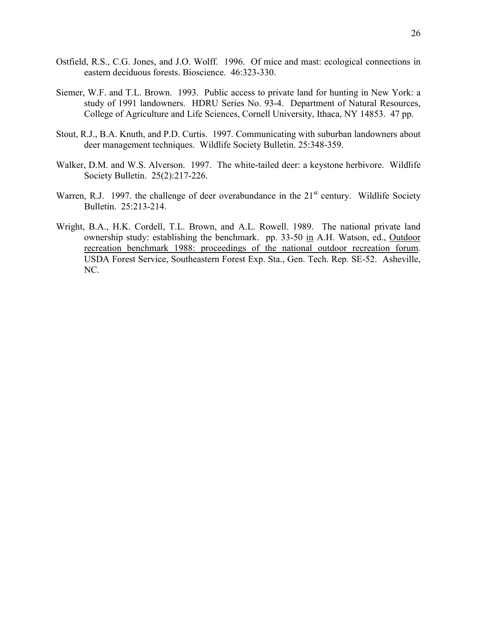- Ostfield, R.S., C.G. Jones, and J.O. Wolff. 1996. Of mice and mast: ecological connections in eastern deciduous forests. Bioscience. 46:323-330.
- Siemer, W.F. and T.L. Brown. 1993. Public access to private land for hunting in New York: a study of 1991 landowners. HDRU Series No. 93-4. Department of Natural Resources, College of Agriculture and Life Sciences, Cornell University, Ithaca, NY 14853. 47 pp.
- Stout, R.J., B.A. Knuth, and P.D. Curtis. 1997. Communicating with suburban landowners about deer management techniques. Wildlife Society Bulletin. 25:348-359.
- Walker, D.M. and W.S. Alverson. 1997. The white-tailed deer: a keystone herbivore. Wildlife Society Bulletin. 25(2):217-226.
- Warren, R.J. 1997. the challenge of deer overabundance in the 21<sup>st</sup> century. Wildlife Society Bulletin. 25:213-214.
- Wright, B.A., H.K. Cordell, T.L. Brown, and A.L. Rowell. 1989. The national private land ownership study: establishing the benchmark. pp. 33-50 in A.H. Watson, ed., Outdoor recreation benchmark 1988: proceedings of the national outdoor recreation forum. USDA Forest Service, Southeastern Forest Exp. Sta., Gen. Tech. Rep. SE-52. Asheville, NC.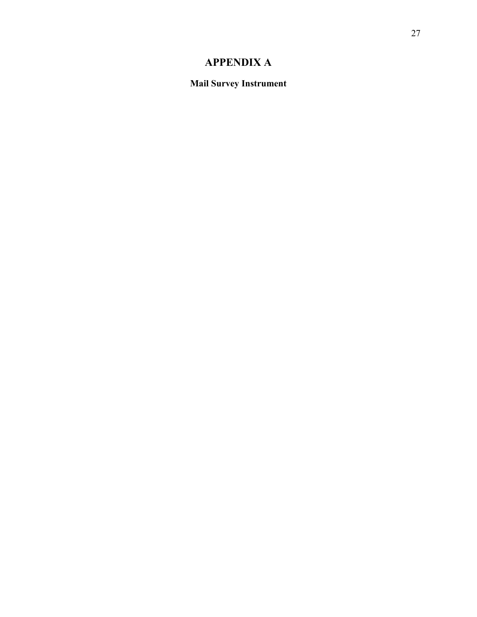### **APPENDIX A**

<span id="page-35-0"></span>**Mail Survey Instrument**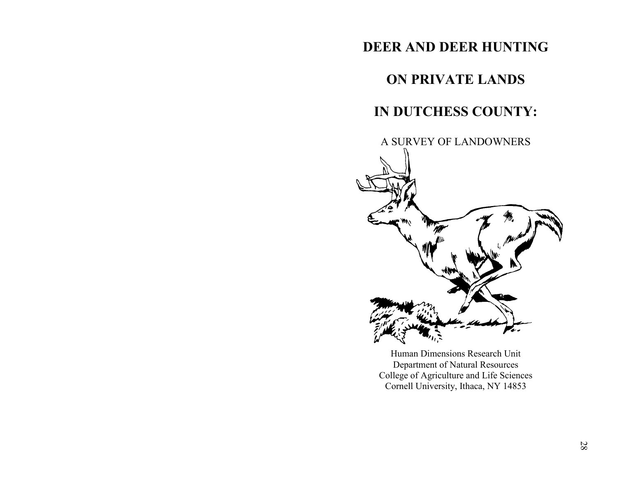### **DEER AND DEER HUNTING**

## **ON PRIVATE LANDS**

## **IN DUTCHESS COUNTY:**



Human Dimensions Research Unit Department of Natural Resources College of Agriculture and Life Sciences Cornell University, Ithaca, NY 14853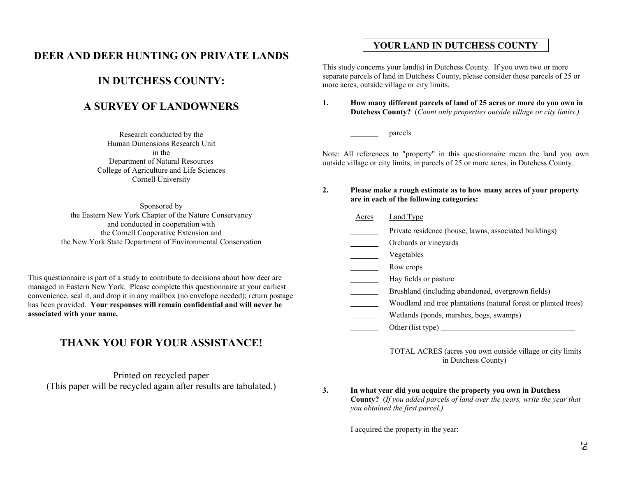### **DEER AND DEER HUNTING ON PRIVATE LANDS**

### **IN DUTCHESS COUNTY:**

### **A SURVEY OF LANDOWNERS**

Research conducted by the Human Dimensions Research Unitin theDepartment of Natural Resources College of Agriculture and Life Sciences Cornell University

Sponsored by the Eastern New York Chapter of the Nature Conservancy and conducted in cooperation with the Cornell Cooperative Extension and the New York State Department of Environmental Conservation

This questionnaire is part of a study to contribute to decisions about how deer are managed in Eastern New York. Please complete this questionnaire at your earliest convenience, seal it, and drop it in any mailbox (no envelope needed); return postage has been provided. **Your responses will remain confidential and will never be associated with your name.**

### **THANK YOU FOR YOUR ASSISTANCE!**

Printed on recycled paper (This paper will be recycled again after results are tabulated.)

#### **YOUR LAND IN DUTCHESS COUNTY**

This study concerns your land(s) in Dutchess County. If you own two or more separate parcels of land in Dutchess County, please consider those parcels of 25 or more acres, outside village or city limits.

**1. How many different parcels of land of 25 acres or more do you own in Dutchess County?** (*Count only properties outside village or city limits.)*

parcels

Note: All references to "property" in this questionnaire mean the land you own outside village or city limits, in parcels of 25 or more acres, in Dutchess County.

#### **2. Please make a rough estimate as to how many acres of your property are in each of the following categories:**

Acres Land Type

- Private residence (house, lawns, associated buildings)
- **Community** Orchards or vineyards
- **Vegetables**
- <u>Now</u> crops
- Hay fields or pasture
- Brushland (including abandoned, overgrown fields)
- Woodland and tree plantations (natural forest or planted trees)
- Wetlands (ponds, marshes, bogs, swamps)
- Other (list type)
	- TOTAL ACRES (acres you own outside village or city limits in Dutchess County)
- **3. In what year did you acquire the property you own in Dutchess County?** (*If you added parcels of land over the years, write the year that you obtained the first parcel.)*

I acquired the property in the year: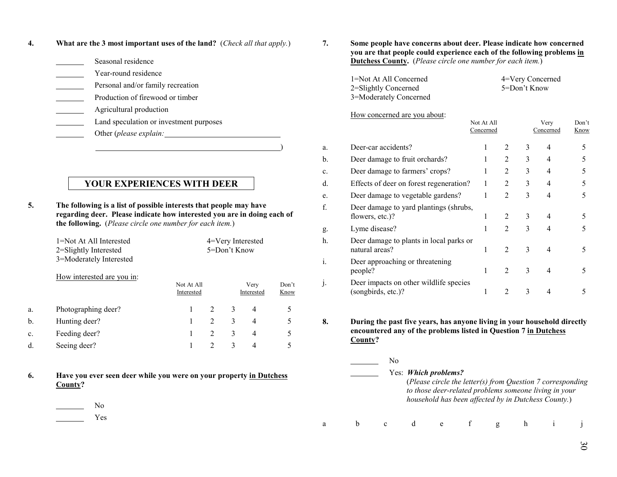**4. What are the 3 most important uses of the land?** (*Check all that apply.*)

| Seasonal residence                      |
|-----------------------------------------|
| Year-round residence                    |
| Personal and/or family recreation       |
| Production of firewood or timber        |
| Agricultural production                 |
| Land speculation or investment purposes |
| Other (please explain:                  |
|                                         |

#### **YOUR EXPERIENCES WITH DEER**

**5. The following is a list of possible interests that people may have regarding deer. Please indicate how interested you are in doing each of the following.** (*Please circle one number for each item.*)

|    | 1=Not At All Interested<br>2=Slightly Interested<br>3=Moderately Interested | 4=Very Interested<br>5=Don't Know |                |   |                    |               |  |
|----|-----------------------------------------------------------------------------|-----------------------------------|----------------|---|--------------------|---------------|--|
|    | How interested are you in:                                                  | Not At All<br>Interested          |                |   | Very<br>Interested | Don't<br>Know |  |
| a. | Photographing deer?                                                         |                                   | $\mathfrak{D}$ | 3 | 4                  | 5             |  |
| b. | Hunting deer?                                                               |                                   | $\mathfrak{D}$ | 3 | 4                  | 5             |  |
| c. | Feeding deer?                                                               |                                   | 2              | 3 | 4                  | 5             |  |
| d. | Seeing deer?                                                                |                                   | $\mathfrak{D}$ | 3 | 4                  |               |  |

- **6. Have you ever seen deer while you were on your property in Dutchess County?**
	- NoYes

**7. Some people have concerns about deer. Please indicate how concerned you are that people could experience each of the following problems in Dutchess County.** (*Please circle one number for each item.*)

> 1=Not At All Concerned 4=Very Concerned 2=Slightly Concerned 5=Don't Know 3=Moderately Concerned

Not At All Very Don't

#### How concerned are you about:

|    |                                                              | Concerned |                |   | Concerned | Know |
|----|--------------------------------------------------------------|-----------|----------------|---|-----------|------|
| a. | Deer-car accidents?                                          |           | 2              | 3 | 4         | 5    |
| b. | Deer damage to fruit orchards?                               |           | $\mathfrak{D}$ | 3 | 4         | 5    |
| c. | Deer damage to farmers' crops?                               |           | $\mathfrak{D}$ | 3 | 4         | 5    |
| d. | Effects of deer on forest regeneration?                      |           | $\overline{2}$ | 3 | 4         | 5    |
| e. | Deer damage to vegetable gardens?                            | 1         | $\overline{2}$ | 3 | 4         | 5    |
| f. | Deer damage to yard plantings (shrubs,<br>flowers, etc.)?    | 1         | $\mathfrak{D}$ | 3 | 4         | 5    |
| g. | Lyme disease?                                                |           | $\mathfrak{D}$ | 3 | 4         |      |
| h. | Deer damage to plants in local parks or<br>natural areas?    | 1         | $\mathfrak{D}$ | 3 | 4         | 5    |
| i. | Deer approaching or threatening<br>people?                   |           | $\mathfrak{D}$ | 3 | 4         |      |
| J. | Deer impacts on other wildlife species<br>(songbirds, etc.)? |           |                | 3 |           |      |

**8. During the past five years, has anyone living in your household directly encountered any of the problems listed in Question 7 in Dutchess County?**

|  | Nο |                             |  |                                                                                                                                                                            |  |
|--|----|-----------------------------|--|----------------------------------------------------------------------------------------------------------------------------------------------------------------------------|--|
|  |    | Yes: <i>Which problems?</i> |  | (Please circle the letter(s) from Question 7 corresponding<br>to those deer-related problems someone living in your<br>household has been affected by in Dutchess County.) |  |
|  |    |                             |  |                                                                                                                                                                            |  |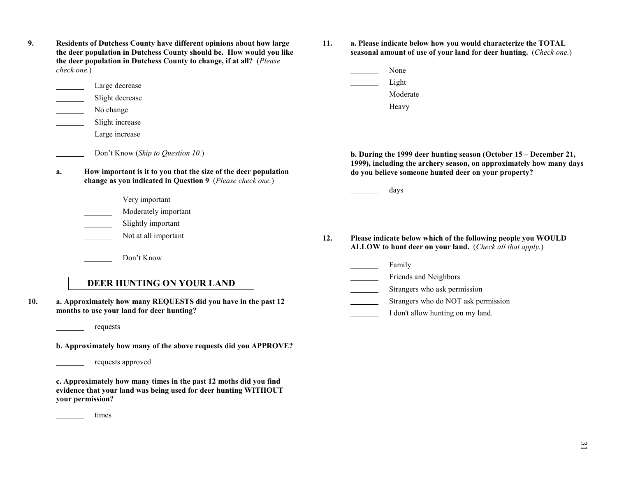| 9. | Residents of Dutchess County have different opinions about how large<br>the deer population in Dutchess County should be. How would you like<br>the deer population in Dutchess County to change, if at all? (Please<br>check one.) |
|----|-------------------------------------------------------------------------------------------------------------------------------------------------------------------------------------------------------------------------------------|
|    | Large decrease                                                                                                                                                                                                                      |

- Slight decrease
- No change
- Slight increase
- Large increase
	- Don't Know (*Skip to Question 10.*)
- **a. How important is it to you that the size of the deer population change as you indicated in Question 9** (*Please check one.*)
	- Very important
	- **Moderately important**
	- Slightly important
	- Not at all important
		- Don't Know
- **11. a. Please indicate below how you would characterize the TOTAL seasonal amount of use of your land for deer hunting.** (*Check one.*)
	- None Light Moderate

Heavy

- **b. During the 1999 deer hunting season (October 15 December 21, 1999), including the archery season, on approximately how many days do you believe someone hunted deer on your property?**
	- days
- **12. Please indicate below which of the following people you WOULD ALLOW to hunt deer on your land.** (*Check all that apply.*)
	- Family
	- Friends and Neighbors
	- Strangers who ask permission
	- Strangers who do NOT ask permission
	- I don't allow hunting on my land.

**DEER HUNTING ON YOUR LAND**

- **10. a. Approximately how many REQUESTS did you have in the past 12 months to use your land for deer hunting?**
	- requests
	- **b. Approximately how many of the above requests did you APPROVE?**
		- requests approved
	- **c. Approximately how many times in the past 12 moths did you find evidence that your land was being used for deer hunting WITHOUT your permission?**
	- <u>times</u>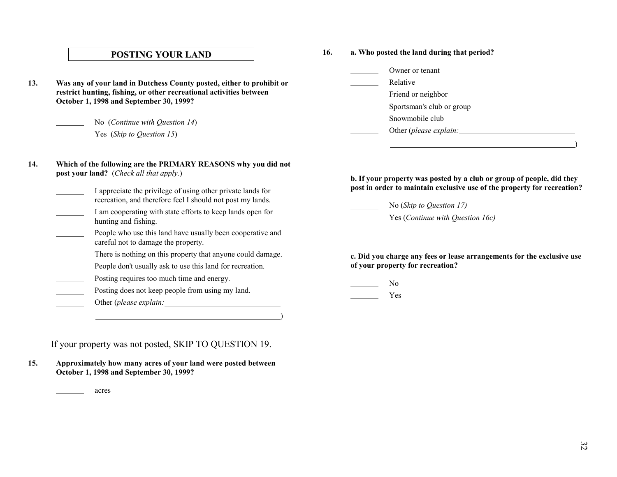#### **POSTING YOUR LAND**

**13. Was any of your land in Dutchess County posted, either to prohibit or restrict hunting, fishing, or other recreational activities between October 1, 1998 and September 30, 1999?**

No (*Continue with Question 14*)

Yes (*Skip to Question 15*)

#### **16. a. Who posted the land during that period?**

 Owner or tenant Relative Friend or neighbor Sportsman's club or group Snowmobile clubOther (*please explain:*

- **14. Which of the following are the PRIMARY REASONS why you did not post your land?** (*Check all that apply.*)
	- I appreciate the privilege of using other private lands for recreation, and therefore feel I should not post my lands.
	- I am cooperating with state efforts to keep lands open for hunting and fishing.
	- People who use this land have usually been cooperative and careful not to damage the property.
	- There is nothing on this property that anyone could damage.
	- **EXECUTE:** People don't usually ask to use this land for recreation.
	- Posting requires too much time and energy.
	- Posting does not keep people from using my land.
	- Other (*please explain:*

If your property was not posted, SKIP TO QUESTION 19.

**15. Approximately how many acres of your land were posted between October 1, 1998 and September 30, 1999?**

acres

**b. If your property was posted by a club or group of people, did they post in order to maintain exclusive use of the property for recreation?**

<u>)</u>

No (*Skip to Question 17)*

Yes (*Continue with Question 16c)*

**c. Did you charge any fees or lease arrangements for the exclusive use of your property for recreation?**

No

Yes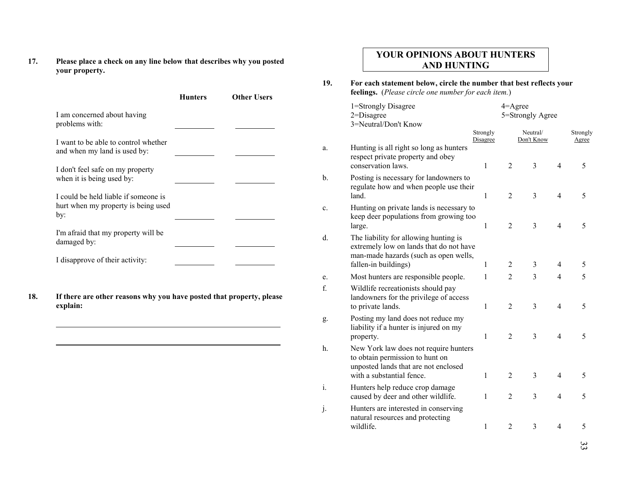**17. Please place a check on any line below that describes why you posted your property.**

| I am concerned about having                                                        | <b>Other Users</b> |
|------------------------------------------------------------------------------------|--------------------|
| problems with:                                                                     |                    |
| I want to be able to control whether<br>and when my land is used by:               |                    |
| I don't feel safe on my property<br>when it is being used by:                      |                    |
| I could be held liable if someone is<br>hurt when my property is being used<br>by: |                    |
| I'm afraid that my property will be<br>damaged by:                                 |                    |
| I disapprove of their activity:                                                    |                    |

#### **YOUR OPINIONS ABOUT HUNTERS AND HUNTING**

**19. For each statement below, circle the number that best reflects your feelings.** (*Please circle one number for each item.*)

|               | 1=Strongly Disagree<br>$2 = Disagree$<br>3=Neutral/Don't Know                                                                                     |                      | $4 =$ Agree    | 5=Strongly Agree       |                |                          |
|---------------|---------------------------------------------------------------------------------------------------------------------------------------------------|----------------------|----------------|------------------------|----------------|--------------------------|
|               |                                                                                                                                                   | Strongly<br>Disagree |                | Neutral/<br>Don't Know |                | Strongly<br><u>Agree</u> |
| a.            | Hunting is all right so long as hunters<br>respect private property and obey<br>conservation laws.                                                | 1                    | $\overline{2}$ | 3                      | $\overline{4}$ | 5                        |
| $\mathbf b$ . | Posting is necessary for landowners to<br>regulate how and when people use their<br>land.                                                         | $\mathbf{1}$         | $\overline{2}$ | 3                      | $\overline{4}$ | 5                        |
| c.            | Hunting on private lands is necessary to<br>keep deer populations from growing too<br>large.                                                      | 1                    | $\overline{2}$ | 3                      | $\overline{4}$ | 5                        |
| d.            | The liability for allowing hunting is<br>extremely low on lands that do not have<br>man-made hazards (such as open wells,<br>fallen-in buildings) | 1                    | $\overline{2}$ | 3                      | 4              | 5                        |
| e.            | Most hunters are responsible people.                                                                                                              | 1                    | $\overline{2}$ | 3                      | 4              | 5                        |
| f.            | Wildlife recreationists should pay<br>landowners for the privilege of access<br>to private lands.                                                 | 1                    | $\overline{2}$ | 3                      | $\overline{4}$ | 5                        |
| g.            | Posting my land does not reduce my<br>liability if a hunter is injured on my<br>property.                                                         | $\mathbf{1}$         | $\overline{2}$ | 3                      | $\overline{4}$ | 5                        |
| h.            | New York law does not require hunters<br>to obtain permission to hunt on<br>unposted lands that are not enclosed<br>with a substantial fence.     | $\mathbf{1}$         | $\overline{2}$ | 3                      | $\overline{4}$ | 5                        |
| i.            | Hunters help reduce crop damage<br>caused by deer and other wildlife.                                                                             | 1                    | $\overline{2}$ | 3                      | $\overline{4}$ | 5                        |
| j.            | Hunters are interested in conserving<br>natural resources and protecting<br>wildlife.                                                             | $\mathbf{1}$         | $\overline{2}$ | 3                      | $\overline{4}$ | 5                        |
|               |                                                                                                                                                   |                      |                |                        |                |                          |

33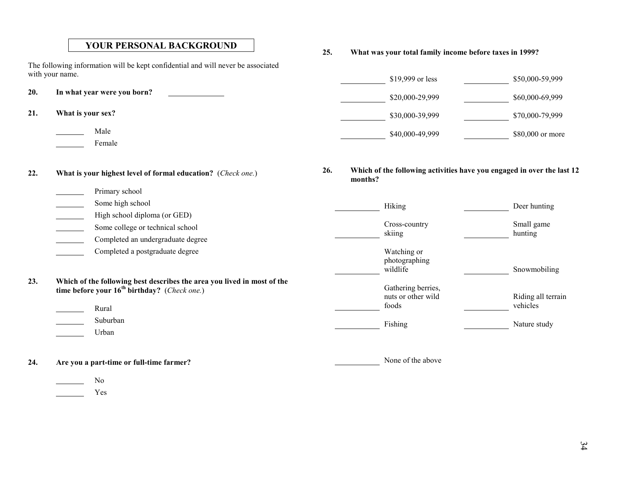#### **YOUR PERSONAL BACKGROUND**

The following information will be kept confidential and will never be associated with your name.

- **20. In what year were you born?**
- **21. What is your sex?**
	- Male

**EXECUTE:** Female

**Primary school** 

**22. What is your highest level of formal education?** (*Check one.*)

**25. What was your total family income before taxes in 1999?**

| $$19,999$ or less | \$50,000-59,999  |
|-------------------|------------------|
| \$20,000-29,999   | \$60,000-69,999  |
| \$30,000-39,999   | \$70,000-79,999  |
| \$40,000-49,999   | \$80,000 or more |

**26. Which of the following activities have you engaged in over the last 12 months?**

None of the above

|     | Some high school                                                                                                                      | Hiking                                   | Deer hunting          |
|-----|---------------------------------------------------------------------------------------------------------------------------------------|------------------------------------------|-----------------------|
|     | High school diploma (or GED)<br>Some college or technical school<br>Completed an undergraduate degree                                 | Cross-country<br>skiing                  | Small game<br>hunting |
|     | Completed a postgraduate degree                                                                                                       | Watching or<br>photographing<br>wildlife | Snowmobiling          |
| 23. | Which of the following best describes the area you lived in most of the<br>time before your $16^{th}$ birthday? ( <i>Check one.</i> ) | Gathering berries,<br>nuts or other wild | Riding all terrain    |
|     | Rural                                                                                                                                 | foods                                    | vehicles              |
|     | Suburban<br>Urban                                                                                                                     | Fishing                                  | Nature study          |
|     |                                                                                                                                       |                                          |                       |

- **24. Are you a part-time or full-time farmer?**
	- <u>Nominal</u> No

Yes